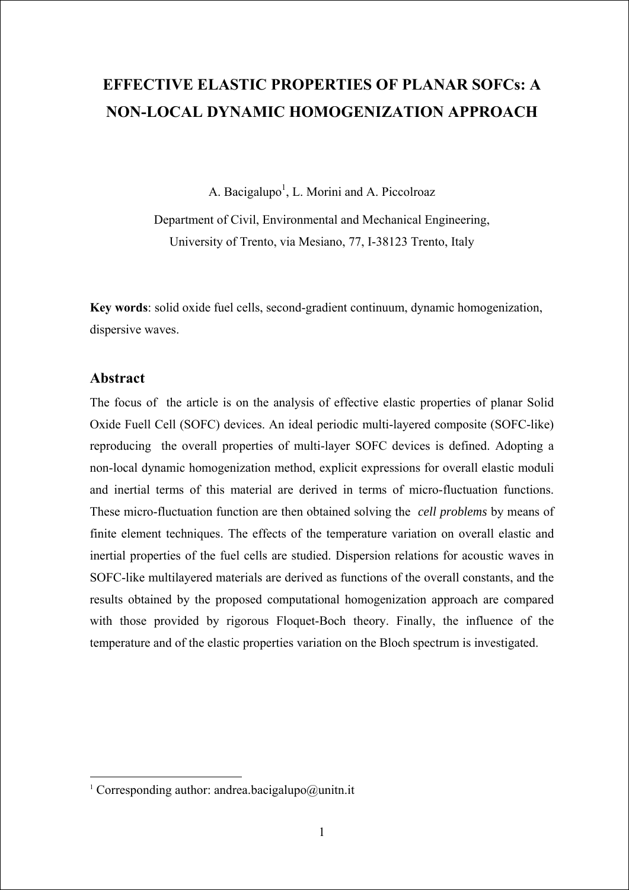# **EFFECTIVE ELASTIC PROPERTIES OF PLANAR SOFCs: A NON-LOCAL DYNAMIC HOMOGENIZATION APPROACH**

A. Bacigalupo<sup>1</sup>, L. Morini and A. Piccolroaz

Department of Civil, Environmental and Mechanical Engineering, University of Trento, via Mesiano, 77, I-38123 Trento, Italy

**Key words**: solid oxide fuel cells, second-gradient continuum, dynamic homogenization, dispersive waves.

# **Abstract**

<u>.</u>

The focus of the article is on the analysis of effective elastic properties of planar Solid Oxide Fuell Cell (SOFC) devices. An ideal periodic multi-layered composite (SOFC-like) reproducing the overall properties of multi-layer SOFC devices is defined. Adopting a non-local dynamic homogenization method, explicit expressions for overall elastic moduli and inertial terms of this material are derived in terms of micro-fluctuation functions. These micro-fluctuation function are then obtained solving the *cell problems* by means of finite element techniques. The effects of the temperature variation on overall elastic and inertial properties of the fuel cells are studied. Dispersion relations for acoustic waves in SOFC-like multilayered materials are derived as functions of the overall constants, and the results obtained by the proposed computational homogenization approach are compared with those provided by rigorous Floquet-Boch theory. Finally, the influence of the temperature and of the elastic properties variation on the Bloch spectrum is investigated.

<sup>&</sup>lt;sup>1</sup> Corresponding author: andrea.bacigalupo@unitn.it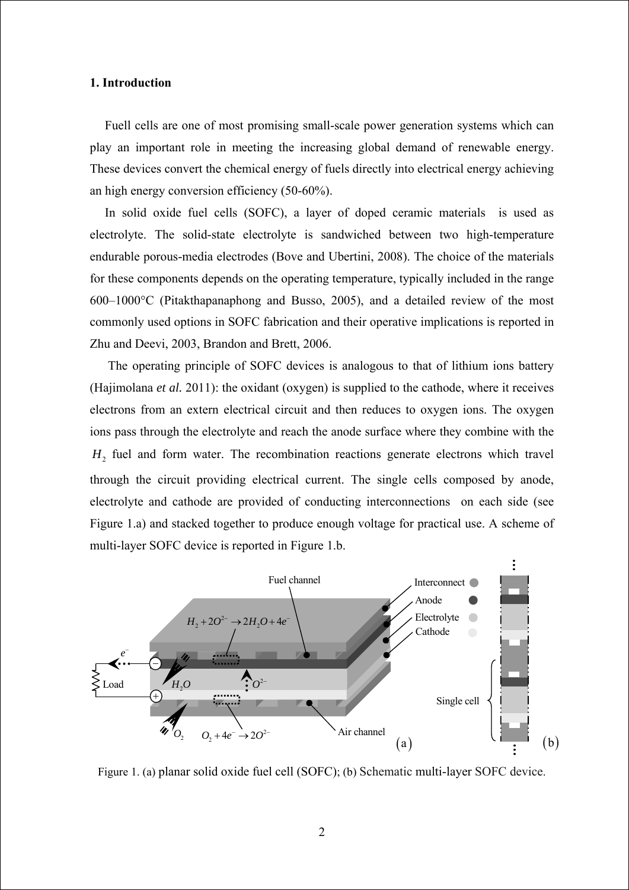## **1. Introduction**

Fuell cells are one of most promising small-scale power generation systems which can play an important role in meeting the increasing global demand of renewable energy. These devices convert the chemical energy of fuels directly into electrical energy achieving an high energy conversion efficiency (50-60%).

In solid oxide fuel cells (SOFC), a layer of doped ceramic materials is used as electrolyte. The solid-state electrolyte is sandwiched between two high-temperature endurable porous-media electrodes (Bove and Ubertini, 2008). The choice of the materials for these components depends on the operating temperature, typically included in the range 600–1000°C (Pitakthapanaphong and Busso, 2005), and a detailed review of the most commonly used options in SOFC fabrication and their operative implications is reported in Zhu and Deevi, 2003, Brandon and Brett, 2006.

 The operating principle of SOFC devices is analogous to that of lithium ions battery (Hajimolana *et al.* 2011): the oxidant (oxygen) is supplied to the cathode, where it receives electrons from an extern electrical circuit and then reduces to oxygen ions. The oxygen ions pass through the electrolyte and reach the anode surface where they combine with the  $H<sub>2</sub>$  fuel and form water. The recombination reactions generate electrons which travel through the circuit providing electrical current. The single cells composed by anode, electrolyte and cathode are provided of conducting interconnections on each side (see Figure 1.a) and stacked together to produce enough voltage for practical use. A scheme of multi-layer SOFC device is reported in Figure 1.b.



Figure 1. (a) planar solid oxide fuel cell (SOFC); (b) Schematic multi-layer SOFC device.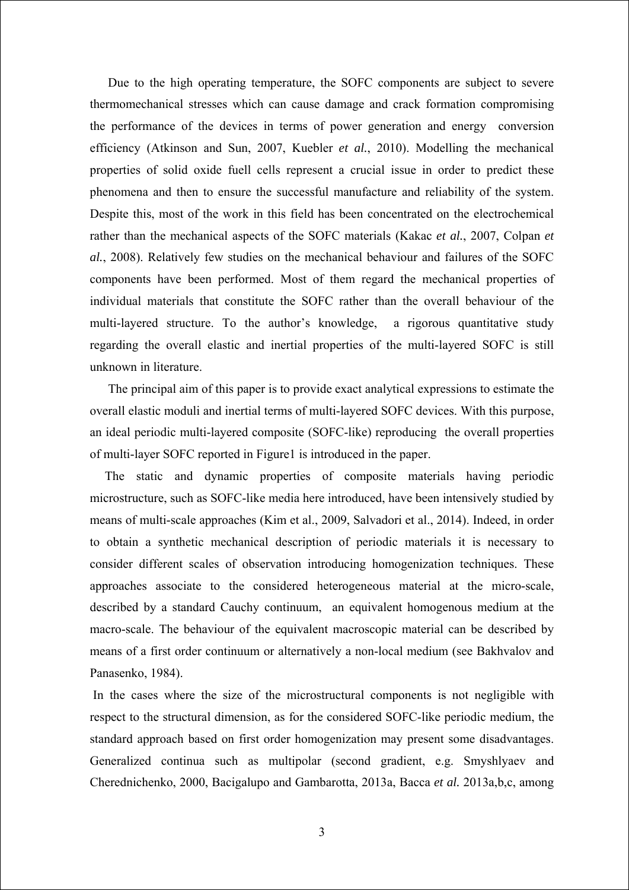Due to the high operating temperature, the SOFC components are subject to severe thermomechanical stresses which can cause damage and crack formation compromising the performance of the devices in terms of power generation and energy conversion efficiency (Atkinson and Sun, 2007, Kuebler *et al.*, 2010). Modelling the mechanical properties of solid oxide fuell cells represent a crucial issue in order to predict these phenomena and then to ensure the successful manufacture and reliability of the system. Despite this, most of the work in this field has been concentrated on the electrochemical rather than the mechanical aspects of the SOFC materials (Kakac *et al.*, 2007, Colpan *et al.*, 2008). Relatively few studies on the mechanical behaviour and failures of the SOFC components have been performed. Most of them regard the mechanical properties of individual materials that constitute the SOFC rather than the overall behaviour of the multi-layered structure. To the author's knowledge, a rigorous quantitative study regarding the overall elastic and inertial properties of the multi-layered SOFC is still unknown in literature.

 The principal aim of this paper is to provide exact analytical expressions to estimate the overall elastic moduli and inertial terms of multi-layered SOFC devices. With this purpose, an ideal periodic multi-layered composite (SOFC-like) reproducing the overall properties of multi-layer SOFC reported in Figure1 is introduced in the paper.

The static and dynamic properties of composite materials having periodic microstructure, such as SOFC-like media here introduced, have been intensively studied by means of multi-scale approaches (Kim et al., 2009, Salvadori et al., 2014). Indeed, in order to obtain a synthetic mechanical description of periodic materials it is necessary to consider different scales of observation introducing homogenization techniques. These approaches associate to the considered heterogeneous material at the micro-scale, described by a standard Cauchy continuum, an equivalent homogenous medium at the macro-scale. The behaviour of the equivalent macroscopic material can be described by means of a first order continuum or alternatively a non-local medium (see Bakhvalov and Panasenko, 1984).

 In the cases where the size of the microstructural components is not negligible with respect to the structural dimension, as for the considered SOFC-like periodic medium, the standard approach based on first order homogenization may present some disadvantages. Generalized continua such as multipolar (second gradient, e.g. Smyshlyaev and Cherednichenko, 2000, Bacigalupo and Gambarotta, 2013a, Bacca *et al.* 2013a,b,c, among

3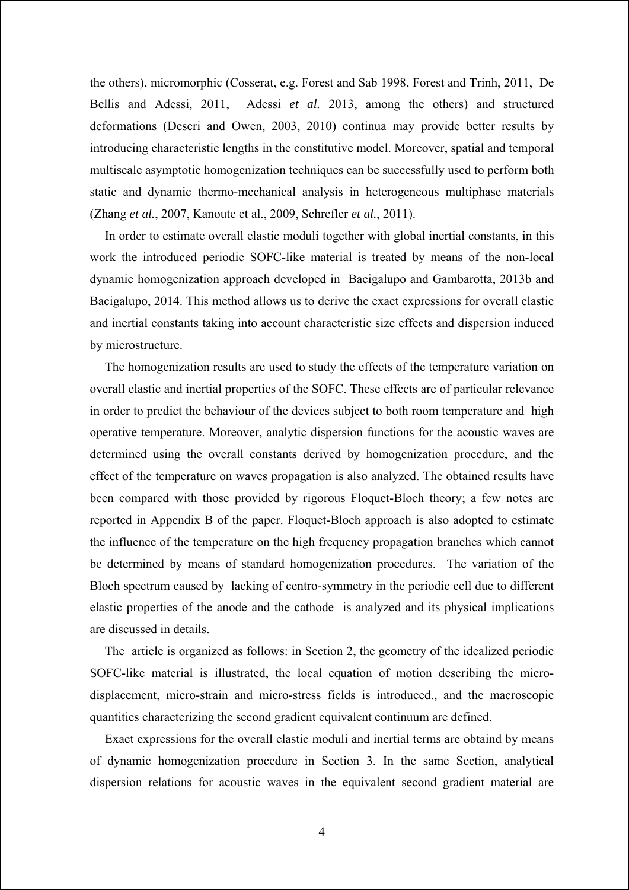the others), micromorphic (Cosserat, e.g. Forest and Sab 1998, Forest and Trinh, 2011, De Bellis and Adessi, 2011, Adessi *et al.* 2013, among the others) and structured deformations (Deseri and Owen, 2003, 2010) continua may provide better results by introducing characteristic lengths in the constitutive model. Moreover, spatial and temporal multiscale asymptotic homogenization techniques can be successfully used to perform both static and dynamic thermo-mechanical analysis in heterogeneous multiphase materials (Zhang *et al.*, 2007, Kanoute et al., 2009, Schrefler *et al.*, 2011).

In order to estimate overall elastic moduli together with global inertial constants, in this work the introduced periodic SOFC-like material is treated by means of the non-local dynamic homogenization approach developed in Bacigalupo and Gambarotta, 2013b and Bacigalupo, 2014. This method allows us to derive the exact expressions for overall elastic and inertial constants taking into account characteristic size effects and dispersion induced by microstructure.

The homogenization results are used to study the effects of the temperature variation on overall elastic and inertial properties of the SOFC. These effects are of particular relevance in order to predict the behaviour of the devices subject to both room temperature and high operative temperature. Moreover, analytic dispersion functions for the acoustic waves are determined using the overall constants derived by homogenization procedure, and the effect of the temperature on waves propagation is also analyzed. The obtained results have been compared with those provided by rigorous Floquet-Bloch theory; a few notes are reported in Appendix B of the paper. Floquet-Bloch approach is also adopted to estimate the influence of the temperature on the high frequency propagation branches which cannot be determined by means of standard homogenization procedures. The variation of the Bloch spectrum caused by lacking of centro-symmetry in the periodic cell due to different elastic properties of the anode and the cathode is analyzed and its physical implications are discussed in details.

The article is organized as follows: in Section 2, the geometry of the idealized periodic SOFC-like material is illustrated, the local equation of motion describing the microdisplacement, micro-strain and micro-stress fields is introduced., and the macroscopic quantities characterizing the second gradient equivalent continuum are defined.

Exact expressions for the overall elastic moduli and inertial terms are obtaind by means of dynamic homogenization procedure in Section 3. In the same Section, analytical dispersion relations for acoustic waves in the equivalent second gradient material are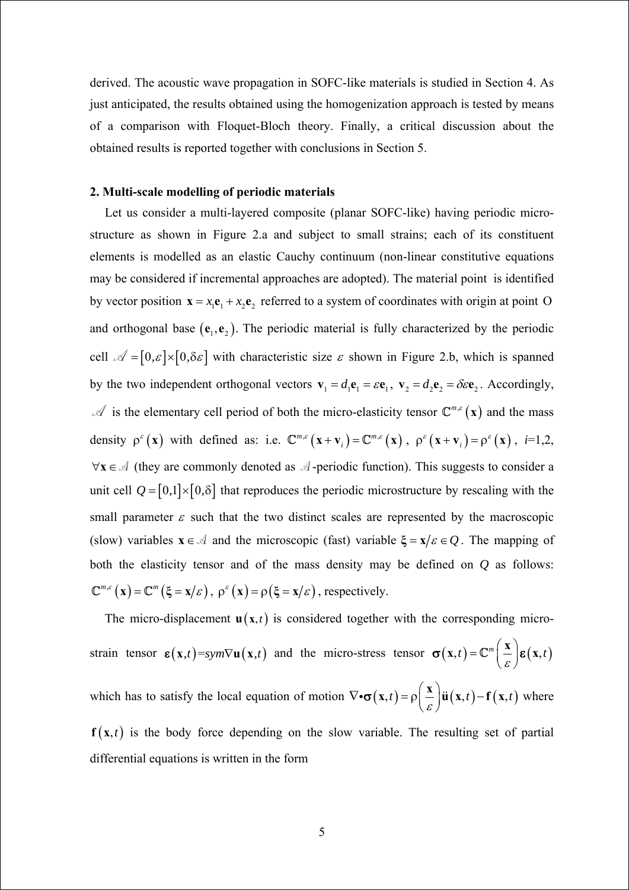derived. The acoustic wave propagation in SOFC-like materials is studied in Section 4. As just anticipated, the results obtained using the homogenization approach is tested by means of a comparison with Floquet-Bloch theory. Finally, a critical discussion about the obtained results is reported together with conclusions in Section 5.

### **2. Multi-scale modelling of periodic materials**

Let us consider a multi-layered composite (planar SOFC-like) having periodic microstructure as shown in Figure 2.a and subject to small strains; each of its constituent elements is modelled as an elastic Cauchy continuum (non-linear constitutive equations may be considered if incremental approaches are adopted). The material point is identified by vector position  $\mathbf{x} = x_1 \mathbf{e}_1 + x_2 \mathbf{e}_2$  referred to a system of coordinates with origin at point O and orthogonal base  $(e_1, e_2)$ . The periodic material is fully characterized by the periodic cell  $\mathcal{A} = [0, \varepsilon] \times [0, \delta \varepsilon]$  with characteristic size  $\varepsilon$  shown in Figure 2.b, which is spanned by the two independent orthogonal vectors  $\mathbf{v}_1 = d_1 \mathbf{e}_1 = \varepsilon \mathbf{e}_1$ ,  $\mathbf{v}_2 = d_2 \mathbf{e}_2 = \delta \varepsilon \mathbf{e}_2$ . Accordingly,  $\mathcal{A}$  is the elementary cell period of both the micro-elasticity tensor  $\mathbb{C}^{m,\varepsilon}(\mathbf{x})$  and the mass density  $\rho^{\varepsilon}(x)$  with defined as: i.e.  $\mathbb{C}^{m,\varepsilon}(x+v_i) = \mathbb{C}^{m,\varepsilon}(x)$ ,  $\rho^{\varepsilon}(x+v_i) = \rho^{\varepsilon}(x)$ ,  $i=1,2$ ,  $\forall x \in \mathcal{A}$  (they are commonly denoted as  $\mathcal{A}$ -periodic function). This suggests to consider a unit cell  $Q = [0,1] \times [0,\delta]$  that reproduces the periodic microstructure by rescaling with the small parameter  $\varepsilon$  such that the two distinct scales are represented by the macroscopic (slow) variables  $\mathbf{x} \in \mathcal{A}$  and the microscopic (fast) variable  $\xi = \mathbf{x}/\varepsilon \in \mathcal{Q}$ . The mapping of both the elasticity tensor and of the mass density may be defined on *Q* as follows:  $\mathbb{C}^{m,\varepsilon}$  (**x**) =  $\mathbb{C}^m$  ( $\xi = \mathbf{x}/\varepsilon$ ),  $\rho^{\varepsilon}(\mathbf{x}) = \rho(\xi = \mathbf{x}/\varepsilon)$ , respectively.

The micro-displacement  $\mathbf{u}(\mathbf{x},t)$  is considered together with the corresponding microstrain tensor  $\mathbf{\varepsilon}(\mathbf{x},t) = sym \nabla \mathbf{u}(\mathbf{x},t)$  and the micro-stress tensor  $\mathbf{\sigma}(\mathbf{x},t) = \mathbb{C}^m \left(\frac{\mathbf{x}}{\varepsilon}\right) \mathbf{\varepsilon}(\mathbf{x},t)$ which has to satisfy the local equation of motion  $\nabla \cdot \sigma(\mathbf{x}, t) = \rho \left( \frac{\Delta}{\varepsilon} \right) \mathbf{u}(\mathbf{x}, t) - \mathbf{f}(\mathbf{x}, t)$  $\nabla \cdot \sigma(\mathbf{x}, t) = \rho\left(\frac{\mathbf{x}}{\varepsilon}\right) \ddot{\mathbf{u}}(\mathbf{x}, t) - \mathbf{f}(\mathbf{x}, t)$  where  $f(x,t)$  is the body force depending on the slow variable. The resulting set of partial differential equations is written in the form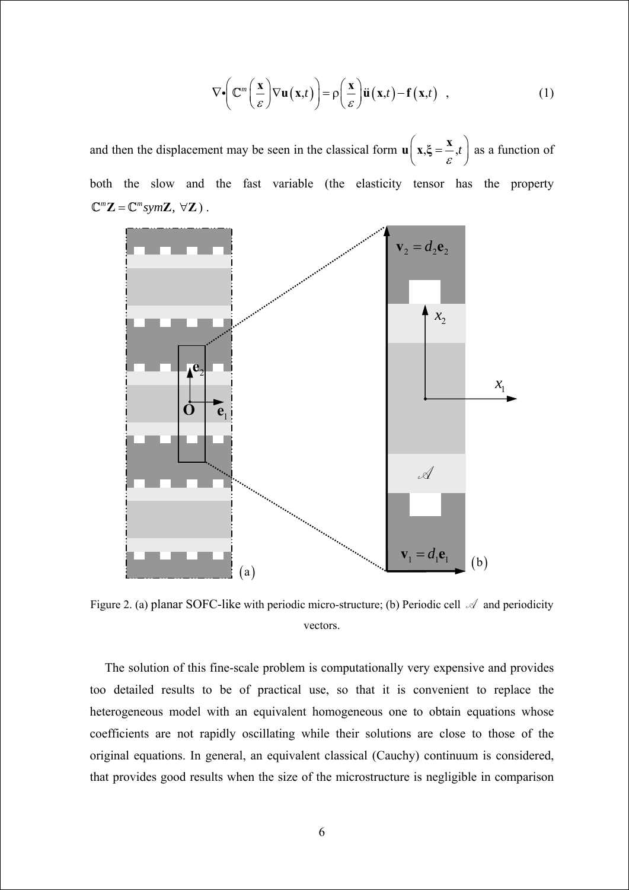$$
\nabla \bullet \left( \mathbb{C}^m \left( \frac{\mathbf{x}}{\varepsilon} \right) \nabla \mathbf{u} \left( \mathbf{x}, t \right) \right) = \rho \left( \frac{\mathbf{x}}{\varepsilon} \right) \ddot{\mathbf{u}} \left( \mathbf{x}, t \right) - \mathbf{f} \left( \mathbf{x}, t \right) , \qquad (1)
$$

and then the displacement may be seen in the classical form  $\mathbf{u} \left( \mathbf{x}, \xi = \frac{\mathbf{x}}{\varepsilon}, t \right)$  as a function of both the slow and the fast variable (the elasticity tensor has the property  $\mathbb{C}^m \mathbb{Z} = \mathbb{C}^m$ sym $\mathbb{Z}, \forall \mathbb{Z}$ ).



Figure 2. (a) planar SOFC-like with periodic micro-structure; (b) Periodic cell  $\mathcal A$  and periodicity vectors.

 The solution of this fine-scale problem is computationally very expensive and provides too detailed results to be of practical use, so that it is convenient to replace the heterogeneous model with an equivalent homogeneous one to obtain equations whose coefficients are not rapidly oscillating while their solutions are close to those of the original equations. In general, an equivalent classical (Cauchy) continuum is considered, that provides good results when the size of the microstructure is negligible in comparison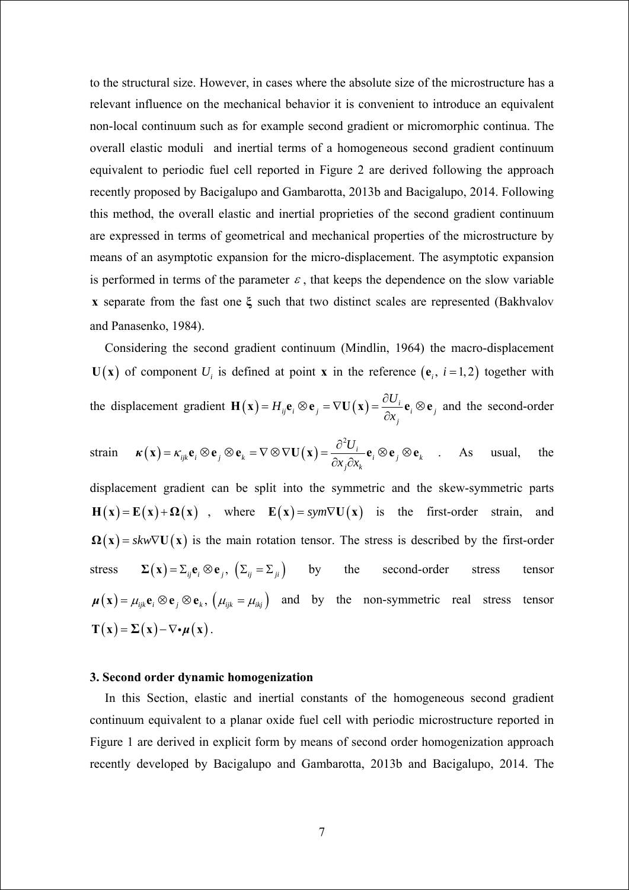to the structural size. However, in cases where the absolute size of the microstructure has a relevant influence on the mechanical behavior it is convenient to introduce an equivalent non-local continuum such as for example second gradient or micromorphic continua. The overall elastic moduli and inertial terms of a homogeneous second gradient continuum equivalent to periodic fuel cell reported in Figure 2 are derived following the approach recently proposed by Bacigalupo and Gambarotta, 2013b and Bacigalupo, 2014. Following this method, the overall elastic and inertial proprieties of the second gradient continuum are expressed in terms of geometrical and mechanical properties of the microstructure by means of an asymptotic expansion for the micro-displacement. The asymptotic expansion is performed in terms of the parameter  $\varepsilon$ , that keeps the dependence on the slow variable **x** separate from the fast one **ξ** such that two distinct scales are represented (Bakhvalov and Panasenko, 1984).

 Considering the second gradient continuum (Mindlin, 1964) the macro-displacement  $U(x)$  of component  $U_i$  is defined at point x in the reference  $(e_i, i=1,2)$  together with the displacement gradient  $\mathbf{H}(\mathbf{x}) = H_{ij} \mathbf{e}_i \otimes \mathbf{e}_j = \nabla \mathbf{U}(\mathbf{x}) = \frac{\partial \mathbf{C}_i}{\partial \mathbf{I}} \mathbf{e}_i \otimes \mathbf{e}_j$ *j*  $H_{ii}$ **e**<sub>i</sub> $\otimes$ **e**<sub>i</sub> $=$  $\nabla$ **U** $(x)$  $=$  $\frac{\partial U}{\partial x}$ *x*  $= H_{ii} \mathbf{e}_i \otimes \mathbf{e}_j = \nabla \mathbf{U}(\mathbf{x}) = \frac{\partial U_i}{\partial \mathbf{e}_i} \mathbf{e}_i \otimes$  $\hat{o}$  $H(x) = H_{ii}e_i \otimes e_i = \nabla U(x) = \frac{\partial u_i}{\partial e_i}e_i \otimes e_i$  and the second-order

strain 
$$
\boldsymbol{\kappa}(\mathbf{x}) = \kappa_{ijk} \mathbf{e}_i \otimes \mathbf{e}_j \otimes \mathbf{e}_k = \nabla \otimes \nabla \mathbf{U}(\mathbf{x}) = \frac{\partial^2 U_i}{\partial x_j \partial x_k} \mathbf{e}_i \otimes \mathbf{e}_j \otimes \mathbf{e}_k
$$
. As usual, the

displacement gradient can be split into the symmetric and the skew-symmetric parts  $H(x) = E(x) + \Omega(x)$ , where  $E(x) = sym \nabla U(x)$  is the first-order strain, and  $\Omega(x) = skw\nabla U(x)$  is the main rotation tensor. The stress is described by the first-order stress  $\Sigma(\mathbf{x}) = \sum_{i} \mathbf{e}_i \otimes \mathbf{e}_i$ ,  $(\Sigma_{ii} = \Sigma_{ii})$  by the second-order stress tensor  $\mu(\mathbf{x}) = \mu_{ijk} \mathbf{e}_i \otimes \mathbf{e}_j \otimes \mathbf{e}_k$ ,  $(\mu_{ijk} = \mu_{ikj})$  and by the non-symmetric real stress tensor  $\mathbf{T}(\mathbf{x}) = \Sigma(\mathbf{x}) - \nabla \cdot \boldsymbol{\mu}(\mathbf{x}).$ 

## **3. Second order dynamic homogenization**

In this Section, elastic and inertial constants of the homogeneous second gradient continuum equivalent to a planar oxide fuel cell with periodic microstructure reported in Figure 1 are derived in explicit form by means of second order homogenization approach recently developed by Bacigalupo and Gambarotta, 2013b and Bacigalupo, 2014. The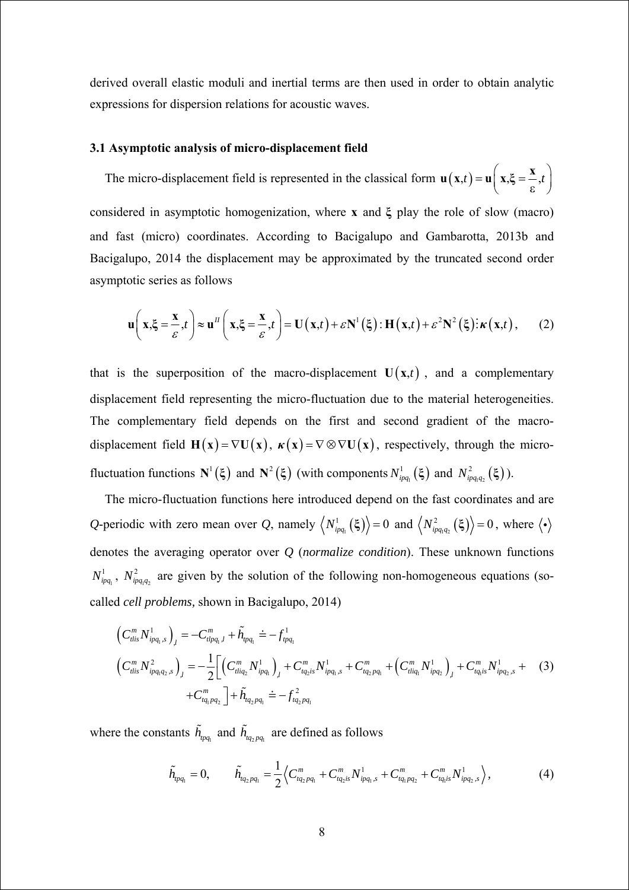derived overall elastic moduli and inertial terms are then used in order to obtain analytic expressions for dispersion relations for acoustic waves.

## **3.1 Asymptotic analysis of micro-displacement field**

The micro-displacement field is represented in the classical form  $\mathbf{u}(\mathbf{x},t) = \mathbf{u}(\mathbf{x},\xi) = \frac{\mathbf{x}}{\varepsilon},t$ considered in asymptotic homogenization, where **x** and **ξ** play the role of slow (macro) and fast (micro) coordinates. According to Bacigalupo and Gambarotta, 2013b and Bacigalupo, 2014 the displacement may be approximated by the truncated second order asymptotic series as follows

$$
\mathbf{u}\left(\mathbf{x},\boldsymbol{\xi}=\frac{\mathbf{x}}{\varepsilon},t\right)\approx\mathbf{u}^H\left(\mathbf{x},\boldsymbol{\xi}=\frac{\mathbf{x}}{\varepsilon},t\right)=\mathbf{U}\left(\mathbf{x},t\right)+\varepsilon\mathbf{N}^1\left(\boldsymbol{\xi}\right):\mathbf{H}\left(\mathbf{x},t\right)+\varepsilon^2\mathbf{N}^2\left(\boldsymbol{\xi}\right):\kappa\left(\mathbf{x},t\right),\qquad(2)
$$

that is the superposition of the macro-displacement  $U(x,t)$ , and a complementary displacement field representing the micro-fluctuation due to the material heterogeneities. The complementary field depends on the first and second gradient of the macrodisplacement field  $H(x) = \nabla U(x)$ ,  $\kappa(x) = \nabla \otimes \nabla U(x)$ , respectively, through the microfluctuation functions  $N^1(\xi)$  and  $N^2(\xi)$  (with components  $N^1_{ipq_1}(\xi)$  and  $N^2_{ipq_1q_2}(\xi)$ ).

The micro-fluctuation functions here introduced depend on the fast coordinates and are *Q*-periodic with zero mean over *Q*, namely  $\langle N_{ipq_1}^1(\xi) \rangle = 0$  and  $\langle N_{ipq_1q_2}^2(\xi) \rangle = 0$ , where  $\langle \bullet \rangle$ denotes the averaging operator over *Q* (*normalize condition*). These unknown functions  $N^1_{ipq_1}$ ,  $N^2_{ipq_1q_2}$  are given by the solution of the following non-homogeneous equations (socalled *cell problems,* shown in Bacigalupo, 2014)

$$
\left(C_{\text{dis}}^{m} N_{ipq_{1},s}^{1}\right)_{J} = -C_{\text{d}pq_{1},l}^{m} + \tilde{h}_{\text{t}pq_{1}} \doteq -f_{\text{t}pq_{1}}^{1}
$$
\n
$$
\left(C_{\text{dis}}^{m} N_{ipq_{1}q_{2},s}^{2}\right)_{J} = -\frac{1}{2} \Bigg[ \left(C_{\text{t}liq_{2}}^{m} N_{ipq_{1}}^{1}\right)_{J} + C_{\text{t}q_{2}is}^{m} N_{ipq_{1},s}^{1} + C_{\text{t}q_{2}pq_{1}}^{m} + \left(C_{\text{t}liq_{1}}^{m} N_{ipq_{2}}^{1}\right)_{J} + C_{\text{t}q_{1}is}^{m} N_{ipq_{2},s}^{1} + (3) + C_{\text{t}q_{1}pq_{2}}^{m} \Bigg] + \tilde{h}_{\text{t}q_{2}pq_{1}} \doteq -f_{\text{t}q_{2}pq_{1}}^{2}
$$

where the constants  $\tilde{h}_{\eta q_1}$  and  $\tilde{h}_{tq_2pq_1}$  are defined as follows

$$
\widetilde{h}_{tpq_1} = 0, \qquad \widetilde{h}_{tq_2pq_1} = \frac{1}{2} \Big\langle C_{tq_2pq_1}^m + C_{tq_2is}^m N_{ipq_1,s}^1 + C_{tq_1pq_2}^m + C_{tq_1is}^m N_{ipq_2,s}^1 \Big\rangle, \tag{4}
$$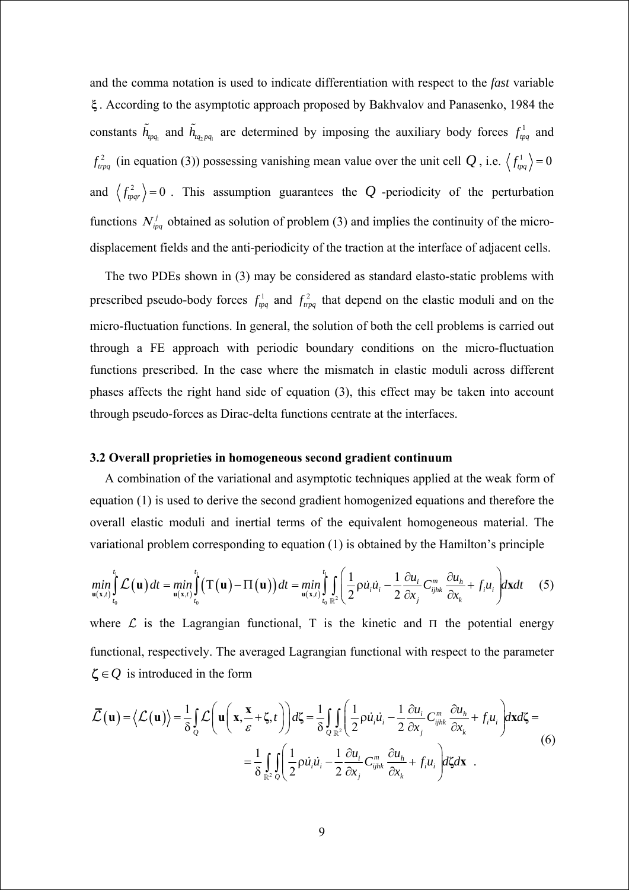and the comma notation is used to indicate differentiation with respect to the *fast* variable **ξ** . According to the asymptotic approach proposed by Bakhvalov and Panasenko, 1984 the constants  $\tilde{h}_{p,q}$  and  $\tilde{h}_{tq_2pq_1}$  are determined by imposing the auxiliary body forces  $f_{tpq}^1$  and  $f_{t_{\text{p}pq}}^2$  (in equation (3)) possessing vanishing mean value over the unit cell *Q*, i.e.  $\langle f_{t_{\text{p}q}}^1 \rangle = 0$ and  $\langle f_{\text{pqr}}^2 \rangle = 0$ . This assumption guarantees the *Q* -periodicity of the perturbation functions  $N_{ipq}^j$  obtained as solution of problem (3) and implies the continuity of the microdisplacement fields and the anti-periodicity of the traction at the interface of adjacent cells.

The two PDEs shown in (3) may be considered as standard elasto-static problems with prescribed pseudo-body forces  $f_{tpq}^1$  and  $f_{trpq}^2$  that depend on the elastic moduli and on the micro-fluctuation functions. In general, the solution of both the cell problems is carried out through a FE approach with periodic boundary conditions on the micro-fluctuation functions prescribed. In the case where the mismatch in elastic moduli across different phases affects the right hand side of equation (3), this effect may be taken into account through pseudo-forces as Dirac-delta functions centrate at the interfaces.

# **3.2 Overall proprieties in homogeneous second gradient continuum**

A combination of the variational and asymptotic techniques applied at the weak form of equation (1) is used to derive the second gradient homogenized equations and therefore the overall elastic moduli and inertial terms of the equivalent homogeneous material. The variational problem corresponding to equation (1) is obtained by the Hamilton's principle

$$
\min_{\mathbf{u}(\mathbf{x},t)} \int_{t_0}^{t_1} \mathcal{L}(\mathbf{u}) dt = \min_{\mathbf{u}(\mathbf{x},t)} \int_{t_0}^{t_1} \left( \mathbf{T}(\mathbf{u}) - \mathbf{\Pi}(\mathbf{u}) \right) dt = \min_{\mathbf{u}(\mathbf{x},t)} \int_{t_0}^{t_1} \int_{\mathbb{R}^2} \left( \frac{1}{2} \rho \dot{u}_i \dot{u}_i - \frac{1}{2} \frac{\partial u_i}{\partial x_j} C_{ijhk}^m \frac{\partial u_h}{\partial x_k} + f_i u_i \right) d\mathbf{x} dt \quad (5)
$$

where  $\mathcal L$  is the Lagrangian functional, T is the kinetic and  $\Pi$  the potential energy functional, respectively. The averaged Lagrangian functional with respect to the parameter  $\zeta \in Q$  is introduced in the form

$$
\overline{\mathcal{L}}(\mathbf{u}) = \langle \mathcal{L}(\mathbf{u}) \rangle = \frac{1}{\delta} \int_{Q} \mathcal{L} \left( \mathbf{u} \left( \mathbf{x}, \frac{\mathbf{x}}{\varepsilon} + \zeta, t \right) \right) d\zeta = \frac{1}{\delta} \int_{Q} \int_{\mathbb{R}^2} \left( \frac{1}{2} \rho \dot{u}_i \dot{u}_i - \frac{1}{2} \frac{\partial u_i}{\partial x_j} C_{ijhk}^m \frac{\partial u_h}{\partial x_k} + f_i u_i \right) d\mathbf{x} d\zeta =
$$
\n
$$
= \frac{1}{\delta} \int_{\mathbb{R}^2} \int_{Q} \left( \frac{1}{2} \rho \dot{u}_i \dot{u}_i - \frac{1}{2} \frac{\partial u_i}{\partial x_j} C_{ijhk}^m \frac{\partial u_h}{\partial x_k} + f_i u_i \right) d\zeta dx \quad .
$$
\n(6)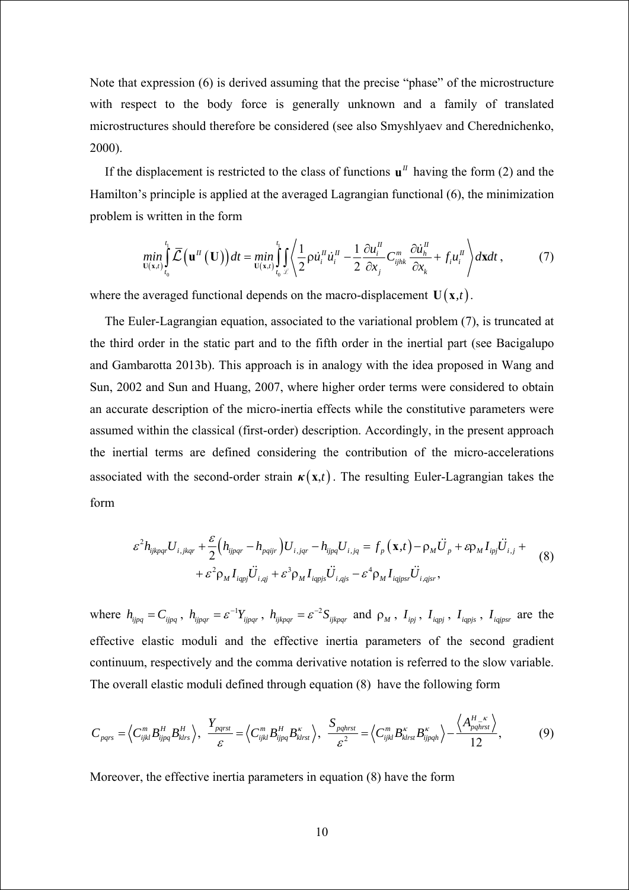Note that expression (6) is derived assuming that the precise "phase" of the microstructure with respect to the body force is generally unknown and a family of translated microstructures should therefore be considered (see also Smyshlyaev and Cherednichenko, 2000).

If the displacement is restricted to the class of functions  $\mathbf{u}^{\prime\prime}$  having the form (2) and the Hamilton's principle is applied at the averaged Lagrangian functional (6), the minimization problem is written in the form

$$
\min_{\mathbf{U}(\mathbf{x},t)} \int_{t_0}^{t_1} \overline{\mathcal{L}}\left(\mathbf{u}^{II}\left(\mathbf{U}\right)\right) dt = \min_{\mathbf{U}(\mathbf{x},t)} \int_{t_0}^{t_1} \int_{\mathcal{L}} \left\langle \frac{1}{2} \rho \dot{u}_i^{II} \dot{u}_i^{II} - \frac{1}{2} \frac{\partial u_i^{II}}{\partial x_j} C_{ijhk}^m \frac{\partial \dot{u}_h^{II}}{\partial x_k} + f_i u_i^{II} \right\rangle d\mathbf{x} dt, \tag{7}
$$

where the averaged functional depends on the macro-displacement  $U(x,t)$ .

The Euler-Lagrangian equation, associated to the variational problem (7), is truncated at the third order in the static part and to the fifth order in the inertial part (see Bacigalupo and Gambarotta 2013b). This approach is in analogy with the idea proposed in Wang and Sun, 2002 and Sun and Huang, 2007, where higher order terms were considered to obtain an accurate description of the micro-inertia effects while the constitutive parameters were assumed within the classical (first-order) description. Accordingly, in the present approach the inertial terms are defined considering the contribution of the micro-accelerations associated with the second-order strain  $\kappa(\mathbf{x},t)$ . The resulting Euler-Lagrangian takes the form

$$
\varepsilon^{2} h_{ijk pqr} U_{i,jkqr} + \frac{\varepsilon}{2} \Big( h_{ijpqr} - h_{pqijr} \Big) U_{i,jqr} - h_{ijpq} U_{i,jq} = f_{p} \left( \mathbf{x}, t \right) - \rho_{M} \ddot{U}_{p} + \varepsilon \rho_{M} I_{ipj} \ddot{U}_{i,j} +
$$
  
+  $\varepsilon^{2} \rho_{M} I_{iqpj} \ddot{U}_{i,qj} + \varepsilon^{3} \rho_{M} I_{iqps} \ddot{U}_{i,qjs} - \varepsilon^{4} \rho_{M} I_{iqps} \ddot{U}_{i,qjsr},$  (8)

where  $h_{ijpq} = C_{ijpq}$ ,  $h_{ijpqr} = \varepsilon^{-1} Y_{ijpqr}$ ,  $h_{ijkpqr} = \varepsilon^{-2} S_{ijkpqr}$  and  $\rho_M$ ,  $I_{ipj}$ ,  $I_{iqpj}$ ,  $I_{iqpjs}$ ,  $I_{iqjpsr}$  are the effective elastic moduli and the effective inertia parameters of the second gradient continuum, respectively and the comma derivative notation is referred to the slow variable. The overall elastic moduli defined through equation (8) have the following form

$$
C_{pqrs} = \left\langle C_{ijkl}^m B_{ijpq}^H B_{klrs}^H \right\rangle, \quad \frac{Y_{pqrst}}{\varepsilon} = \left\langle C_{ijkl}^m B_{ijpq}^H B_{klrst}^\kappa \right\rangle, \quad \frac{S_{pqhrst}}{\varepsilon^2} = \left\langle C_{ijkl}^m B_{klrst}^\kappa B_{ijpqh}^\kappa \right\rangle - \frac{\left\langle A_{pqhrst}^{H-\kappa} \right\rangle}{12}, \quad (9)
$$

Moreover, the effective inertia parameters in equation (8) have the form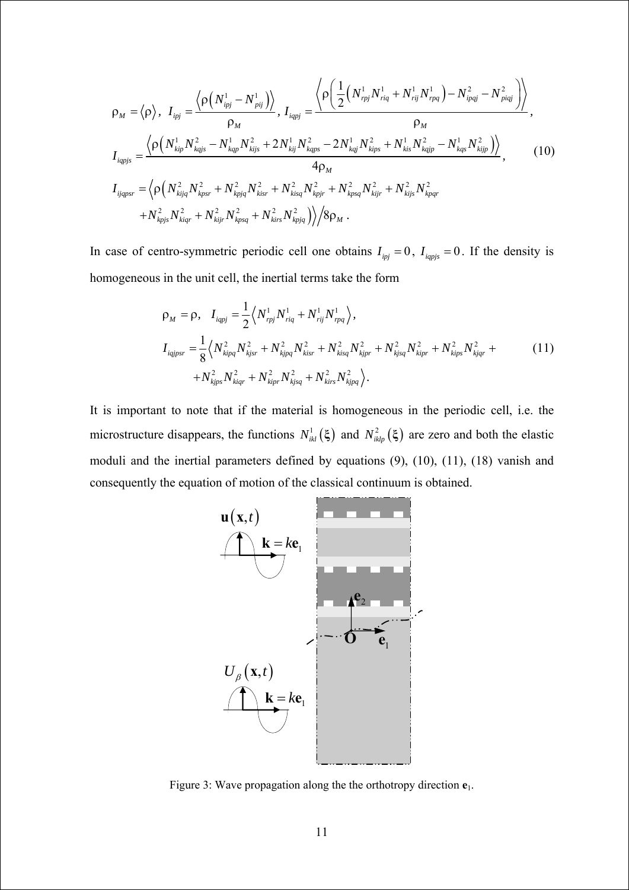$$
\rho_{M} = \langle \rho \rangle, I_{ipj} = \frac{\langle \rho \left( N_{ipj}^{1} - N_{pij}^{1} \right) \rangle}{\rho_{M}}, I_{iqpj} = \frac{\langle \rho \left( \frac{1}{2} \left( N_{rpj}^{1} N_{riq}^{1} + N_{rij}^{1} N_{rpq}^{1} \right) - N_{ipqj}^{2} - N_{piqj}^{2} \right) \rangle}{\rho_{M}},
$$
\n
$$
I_{iqpjs} = \frac{\langle \rho \left( N_{kip}^{1} N_{kqjs}^{2} - N_{kqp}^{1} N_{kijs}^{2} + 2 N_{kij}^{1} N_{kqps}^{2} - 2 N_{kqj}^{1} N_{kips}^{2} + N_{kis}^{1} N_{kqjp}^{2} - N_{kqs}^{1} N_{kijp}^{2} \right) \rangle}{4 \rho_{M}}, \qquad (10)
$$
\n
$$
I_{ijqpsr} = \langle \rho \left( N_{kijq}^{2} N_{kpsr}^{2} + N_{kpjq}^{2} N_{kisr}^{2} + N_{kisq}^{2} N_{kpir}^{2} + N_{kpsq}^{2} N_{kijr}^{2} + N_{kijs}^{2} N_{kpqr}^{2} + N_{kips}^{2} N_{kqrs}^{2} + N_{kips}^{2} N_{kqs}^{2} + N_{kips}^{2} N_{kpsq}^{2} + N_{kips}^{2} N_{kpsq}^{2} \right) \rangle / 8 \rho_{M}.
$$

In case of centro-symmetric periodic cell one obtains  $I_{ipj} = 0$ ,  $I_{iqpjs} = 0$ . If the density is homogeneous in the unit cell, the inertial terms take the form

$$
\rho_M = \rho, \quad I_{iqpj} = \frac{1}{2} \langle N_{pj}^1 N_{riq}^1 + N_{rij}^1 N_{rpq}^1 \rangle,
$$
\n
$$
I_{iqpsr} = \frac{1}{8} \langle N_{kipq}^2 N_{jsr}^2 + N_{kjpq}^2 N_{kisr}^2 + N_{kisq}^2 N_{kipr}^2 + N_{kjsq}^2 N_{kipr}^2 + N_{kips}^2 N_{kjqr}^2 + N_{kips}^2 N_{kjqr}^2 + N_{kips}^2 N_{kipr}^2 + N_{kips}^2 N_{kipr}^2 + N_{kips}^2 N_{kipr}^2 + N_{kips}^2 N_{kips}^2 + N_{kips}^2 N_{kips}^2 + N_{kips}^2 N_{kips}^2.
$$
\n(11)

It is important to note that if the material is homogeneous in the periodic cell, i.e. the microstructure disappears, the functions  $N_{ik}^1(\xi)$  and  $N_{iklp}^2(\xi)$  are zero and both the elastic moduli and the inertial parameters defined by equations (9), (10), (11), (18) vanish and consequently the equation of motion of the classical continuum is obtained.



Figure 3: Wave propagation along the the orthotropy direction **e**1.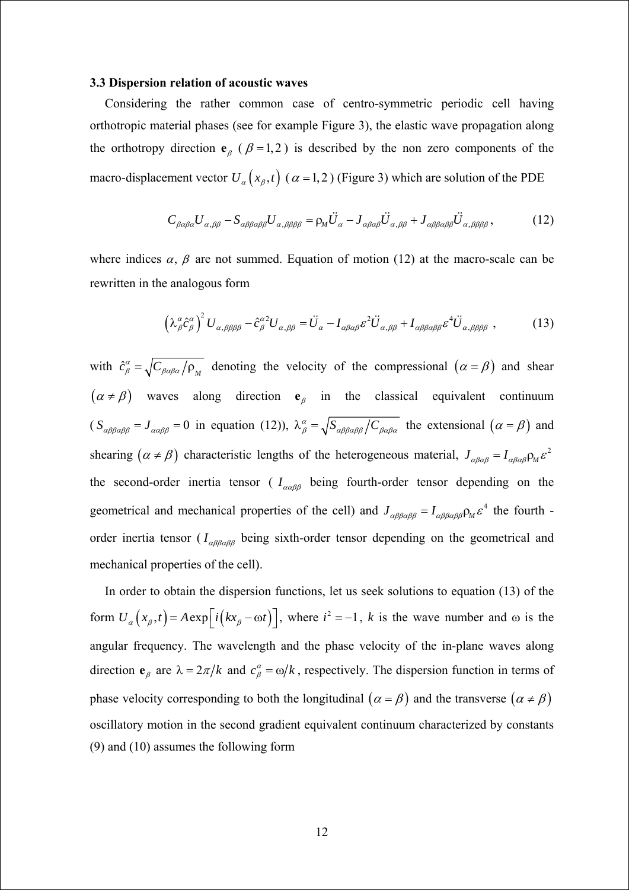#### **3.3 Dispersion relation of acoustic waves**

Considering the rather common case of centro-symmetric periodic cell having orthotropic material phases (see for example Figure 3), the elastic wave propagation along the orthotropy direction  $\mathbf{e}_{\beta}$  ( $\beta = 1,2$ ) is described by the non zero components of the macro-displacement vector  $U_{\alpha}(x_{\beta},t)$  ( $\alpha$  = 1, 2) (Figure 3) which are solution of the PDE

$$
C_{\beta\alpha\beta\alpha}U_{\alpha,\beta\beta} - S_{\alpha\beta\beta\alpha\beta\beta}U_{\alpha,\beta\beta\beta\beta} = \rho_M \ddot{U}_{\alpha} - J_{\alpha\beta\alpha\beta} \ddot{U}_{\alpha,\beta\beta} + J_{\alpha\beta\beta\alpha\beta\beta} \ddot{U}_{\alpha,\beta\beta\beta\beta},
$$
(12)

where indices  $\alpha$ ,  $\beta$  are not summed. Equation of motion (12) at the macro-scale can be rewritten in the analogous form

$$
\left(\lambda^{\alpha}_{\beta}\hat{c}^{\alpha}_{\beta}\right)^{2}U_{\alpha,\beta\beta\beta\beta}-\hat{c}^{\alpha2}_{\beta}U_{\alpha,\beta\beta}=\ddot{U}_{\alpha}-I_{\alpha\beta\alpha\beta}\varepsilon^{2}\ddot{U}_{\alpha,\beta\beta}+I_{\alpha\beta\beta\alpha\beta\beta}\varepsilon^{4}\ddot{U}_{\alpha,\beta\beta\beta\beta},\qquad(13)
$$

with  $\hat{c}_{\beta}^{\alpha} = \sqrt{C_{\beta \alpha \beta \alpha}} / \rho_{M}$  denoting the velocity of the compressional  $(\alpha = \beta)$  and shear  $(\alpha \neq \beta)$  waves along direction **e**<sub> $\beta$ </sub> in the classical equivalent continuum  $(S_{\alpha\beta\beta\alpha\beta\beta} = J_{\alpha\alpha\beta\beta} = 0$  in equation (12)),  $\lambda^{\alpha}_{\beta} = \sqrt{S_{\alpha\beta\beta\alpha\beta\beta}}/C_{\beta\alpha\beta\alpha}$  the extensional  $(\alpha = \beta)$  and shearing  $(\alpha \neq \beta)$  characteristic lengths of the heterogeneous material,  $J_{\alpha\beta\alpha\beta} = I_{\alpha\beta\alpha\beta}\rho_{M}\varepsilon^{2}$ the second-order inertia tensor ( $I_{\alpha\alpha\beta\beta}$  being fourth-order tensor depending on the geometrical and mechanical properties of the cell) and  $J_{\alpha\beta\beta\alpha\beta\beta} = I_{\alpha\beta\beta\alpha\beta\beta} \rho_M \varepsilon^4$  the fourth order inertia tensor ( $I_{\alpha\beta\beta\alpha\beta\beta}$  being sixth-order tensor depending on the geometrical and mechanical properties of the cell).

In order to obtain the dispersion functions, let us seek solutions to equation (13) of the form  $U_{\alpha}(x_{\beta},t) = A \exp \left[i (kx_{\beta} - \omega t) \right]$ , where  $i^2 = -1$ , k is the wave number and  $\omega$  is the angular frequency. The wavelength and the phase velocity of the in-plane waves along direction  $\mathbf{e}_{\beta}$  are  $\lambda = 2\pi/k$  and  $c^{\alpha}_{\beta} = \omega/k$ , respectively. The dispersion function in terms of phase velocity corresponding to both the longitudinal  $(\alpha = \beta)$  and the transverse  $(\alpha \neq \beta)$ oscillatory motion in the second gradient equivalent continuum characterized by constants (9) and (10) assumes the following form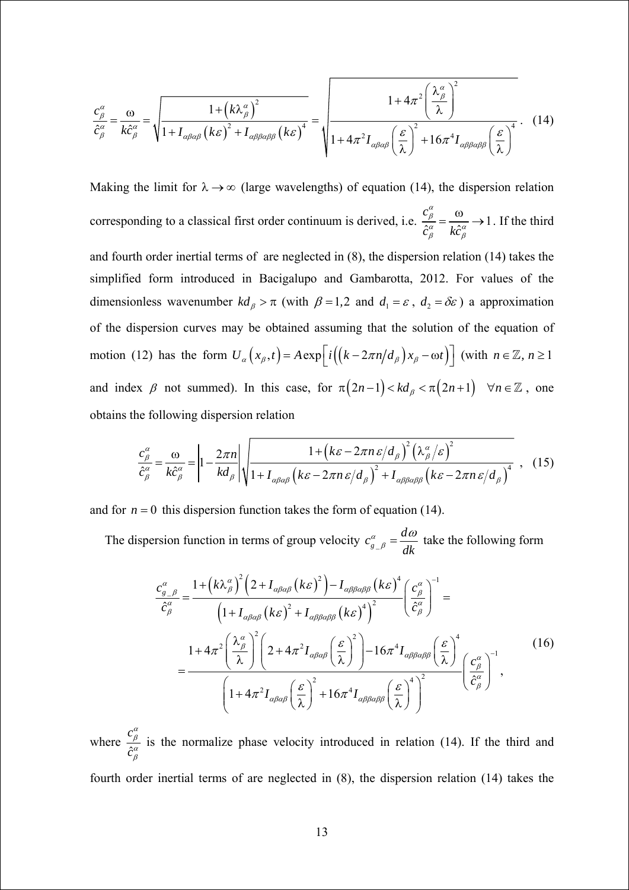$$
\frac{c_{\beta}^{\alpha}}{\hat{c}_{\beta}^{\alpha}} = \frac{\omega}{k\hat{c}_{\beta}^{\alpha}} = \sqrt{\frac{1 + (k\lambda_{\beta}^{\alpha})^2}{1 + I_{\alpha\beta\alpha\beta}(k\varepsilon)^2 + I_{\alpha\beta\beta\alpha\beta\beta}(k\varepsilon)^4}} = \sqrt{\frac{1 + 4\pi^2 \left(\frac{\lambda_{\beta}^{\alpha}}{\lambda}\right)^2}{1 + 4\pi^2 I_{\alpha\beta\alpha\beta}\left(\frac{\varepsilon}{\lambda}\right)^2 + 16\pi^4 I_{\alpha\beta\beta\alpha\beta\beta}\left(\frac{\varepsilon}{\lambda}\right)^4}}.
$$
 (14)

Making the limit for  $\lambda \rightarrow \infty$  (large wavelengths) of equation (14), the dispersion relation corresponding to a classical first order continuum is derived, i.e.  $\frac{\partial \mu}{\partial \alpha} = \frac{\partial \mu}{\partial \alpha} \rightarrow 1$ *c*  $\hat{c}^{\alpha}_{\beta}$  kĉ  $\frac{\alpha}{\beta}$  $\hat{k}^{\alpha}_{\beta}$   $k\hat{c}^{\alpha}_{\beta}$  $=\frac{0}{100} \rightarrow 1$ . If the third and fourth order inertial terms of are neglected in (8), the dispersion relation (14) takes the simplified form introduced in Bacigalupo and Gambarotta, 2012. For values of the dimensionless wavenumber  $kd_\beta > \pi$  (with  $\beta = 1, 2$  and  $d_1 = \varepsilon$ ,  $d_2 = \delta \varepsilon$ ) a approximation of the dispersion curves may be obtained assuming that the solution of the equation of motion (12) has the form  $U_{\alpha}(x_{\beta},t) = A \exp\left[i\left(\left(k - 2\pi n/d_{\beta}\right)x_{\beta} - \omega t\right)\right]$  (with  $n \in \mathbb{Z}, n \geq 1$ and index  $\beta$  not summed). In this case, for  $\pi(2n-1) < kd_{\beta} < \pi(2n+1)$   $\forall n \in \mathbb{Z}$ , one obtains the following dispersion relation

$$
\frac{c_{\beta}^{\alpha}}{\hat{c}_{\beta}^{\alpha}} = \frac{\omega}{k\hat{c}_{\beta}^{\alpha}} = \left| 1 - \frac{2\pi n}{kd_{\beta}} \right| \sqrt{\frac{1 + \left(k\varepsilon - 2\pi n\varepsilon/d_{\beta}\right)^{2} \left(\lambda_{\beta}^{\alpha}/\varepsilon\right)^{2}}{1 + I_{\alpha\beta\alpha\beta}\left(k\varepsilon - 2\pi n\varepsilon/d_{\beta}\right)^{2} + I_{\alpha\beta\alpha\beta\beta}\left(k\varepsilon - 2\pi n\varepsilon/d_{\beta}\right)^{4}}},
$$
(15)

and for  $n = 0$  this dispersion function takes the form of equation (14).

The dispersion function in terms of group velocity  $c_{g}^{\alpha}{}_{\beta} = \frac{d}{d}$ *dk*  $\frac{a}{s} = \frac{d\omega}{dt}$  take the following form

$$
\frac{c_{g_{\beta}}^{\alpha}}{\hat{c}_{\beta}^{\alpha}} = \frac{1 + \left(k\lambda_{\beta}^{\alpha}\right)^{2}\left(2 + I_{\alpha\beta\alpha\beta}\left(k\varepsilon\right)^{2}\right) - I_{\alpha\beta\beta\alpha\beta\beta}\left(k\varepsilon\right)^{4}}{\left(1 + I_{\alpha\beta\alpha\beta}\left(k\varepsilon\right)^{2} + I_{\alpha\beta\beta\alpha\beta\beta}\left(k\varepsilon\right)^{4}\right)^{2}} =
$$
\n
$$
= \frac{1 + 4\pi^{2}\left(\frac{\lambda_{\beta}^{\alpha}}{\lambda}\right)^{2}\left(2 + 4\pi^{2}I_{\alpha\beta\alpha\beta}\left(\frac{\varepsilon}{\lambda}\right)^{2}\right) - 16\pi^{4}I_{\alpha\beta\beta\alpha\beta\beta}\left(\frac{\varepsilon}{\lambda}\right)^{4}}{\left(1 + 4\pi^{2}I_{\alpha\beta\alpha\beta}\left(\frac{\varepsilon}{\lambda}\right)^{2} + 16\pi^{4}I_{\alpha\beta\beta\alpha\beta\beta}\left(\frac{\varepsilon}{\lambda}\right)^{4}\right)^{2}} \left(\frac{c_{\beta}^{\alpha}}{\hat{c}_{\beta}^{\alpha}}\right)^{-1}, \qquad (16)
$$

where  $\frac{8}{c}$ *c c*  $\frac{\alpha}{\beta}$  $\frac{\alpha}{\beta}$  is the normalize phase velocity introduced in relation (14). If the third and fourth order inertial terms of are neglected in (8), the dispersion relation (14) takes the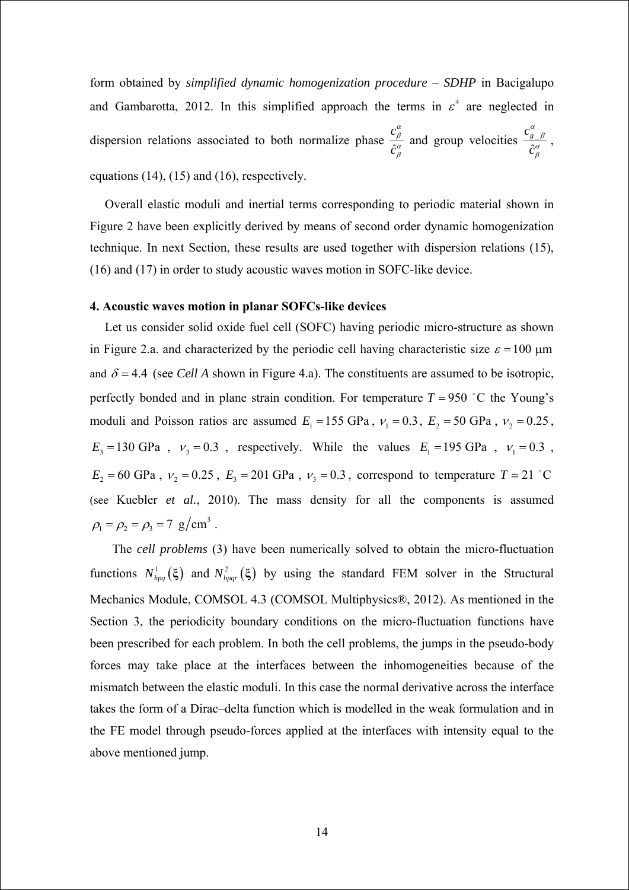form obtained by *simplified dynamic homogenization procedure* – *SDHP* in Bacigalupo and Gambarotta, 2012. In this simplified approach the terms in  $\varepsilon^4$  are neglected in dispersion relations associated to both normalize phase  $\frac{8}{c}$ *c c*  $\overset{\alpha}{\beta}$  $\overset{\alpha}{\beta}$ and group velocities  $\frac{c_g}{\gamma}$ ˆ  $c_{g}^{\ell}$ *c*  $\frac{\alpha}{g}$   $\beta$  $\frac{\alpha}{\beta}$ , equations  $(14)$ ,  $(15)$  and  $(16)$ , respectively.

Overall elastic moduli and inertial terms corresponding to periodic material shown in Figure 2 have been explicitly derived by means of second order dynamic homogenization technique. In next Section, these results are used together with dispersion relations (15), (16) and (17) in order to study acoustic waves motion in SOFC-like device.

## **4. Acoustic waves motion in planar SOFCs-like devices**

Let us consider solid oxide fuel cell (SOFC) having periodic micro-structure as shown in Figure 2.a. and characterized by the periodic cell having characteristic size  $\varepsilon = 100 \text{ }\mu\text{m}$ and  $\delta = 4.4$  (see *Cell A* shown in Figure 4.a). The constituents are assumed to be isotropic, perfectly bonded and in plane strain condition. For temperature  $T = 950$  °C the Young's moduli and Poisson ratios are assumed  $E_1 = 155 \text{ GPa}$ ,  $v_1 = 0.3$ ,  $E_2 = 50 \text{ GPa}$ ,  $v_2 = 0.25$ ,  $E_3 = 130 \text{ GPa}$ ,  $v_3 = 0.3$ , respectively. While the values  $E_1 = 195 \text{ GPa}$ ,  $v_1 = 0.3$ ,  $E_2 = 60$  GPa,  $v_2 = 0.25$ ,  $E_3 = 201$  GPa,  $v_3 = 0.3$ , correspond to temperature  $T \approx 21$  °C (see Kuebler *et al.*, 2010). The mass density for all the components is assumed  $\rho_1 = \rho_2 = \rho_3 = 7$  g/cm<sup>3</sup>.

The *cell problems* (3) have been numerically solved to obtain the micro-fluctuation functions  $N_{hpq}^1(\xi)$  and  $N_{hpqr}^2(\xi)$  by using the standard FEM solver in the Structural Mechanics Module, COMSOL 4.3 (COMSOL Multiphysics®, 2012). As mentioned in the Section 3, the periodicity boundary conditions on the micro-fluctuation functions have been prescribed for each problem. In both the cell problems, the jumps in the pseudo-body forces may take place at the interfaces between the inhomogeneities because of the mismatch between the elastic moduli. In this case the normal derivative across the interface takes the form of a Dirac–delta function which is modelled in the weak formulation and in the FE model through pseudo-forces applied at the interfaces with intensity equal to the above mentioned jump.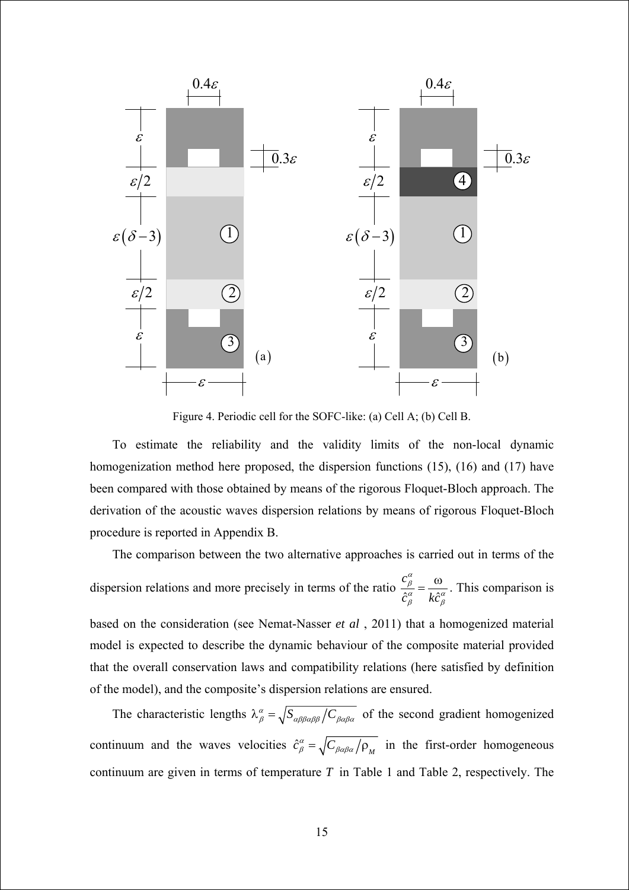

Figure 4. Periodic cell for the SOFC-like: (a) Cell A; (b) Cell B.

To estimate the reliability and the validity limits of the non-local dynamic homogenization method here proposed, the dispersion functions (15), (16) and (17) have been compared with those obtained by means of the rigorous Floquet-Bloch approach. The derivation of the acoustic waves dispersion relations by means of rigorous Floquet-Bloch procedure is reported in Appendix B.

The comparison between the two alternative approaches is carried out in terms of the dispersion relations and more precisely in terms of the ratio  $\frac{\partial \beta}{\partial \alpha} = \frac{\alpha}{k\hat{c}}$ *c*  $\hat{c}^{\alpha}_{\scriptscriptstyle\mathcal{B}}=k\hat{c}$  $\frac{\alpha}{\beta}$  $k \hat{c}^{\alpha}_{\beta}$   $k \hat{c}^{\alpha}_{\beta}$  $=\frac{0}{100}$ . This comparison is based on the consideration (see Nemat-Nasser *et al* , 2011) that a homogenized material model is expected to describe the dynamic behaviour of the composite material provided that the overall conservation laws and compatibility relations (here satisfied by definition of the model), and the composite's dispersion relations are ensured.

The characteristic lengths  $\lambda_{\beta}^{\alpha} = \sqrt{S_{\alpha\beta\alpha\beta\beta}}/C_{\beta\alpha\beta\alpha}$  of the second gradient homogenized continuum and the waves velocities  $\hat{c}^{\alpha}_{\beta} = \sqrt{C_{\beta\alpha\beta\alpha}}/\rho_{M}$  in the first-order homogeneous continuum are given in terms of temperature *T* in Table 1 and Table 2, respectively. The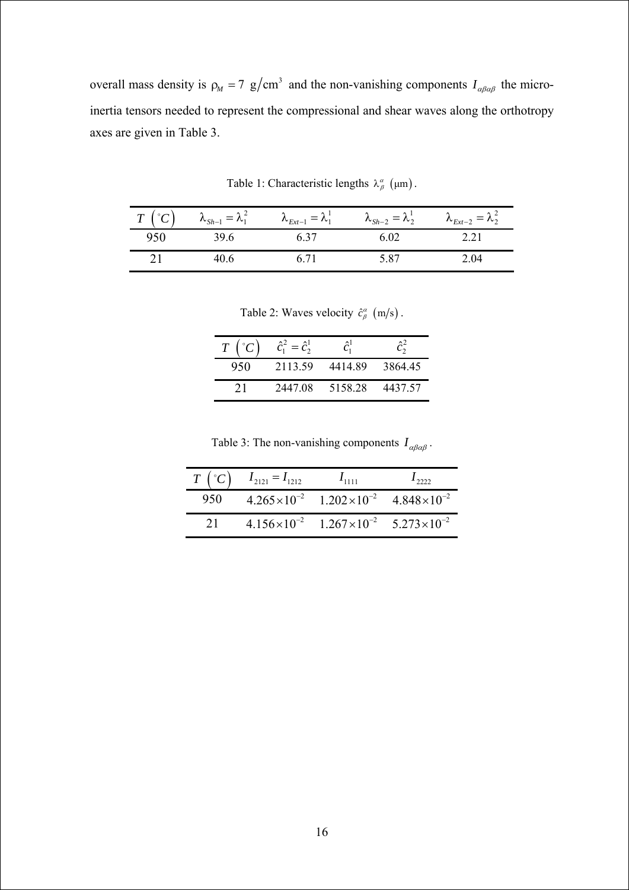overall mass density is  $\rho_M = 7$  g/cm<sup>3</sup> and the non-vanishing components  $I_{\alpha\beta\alpha\beta}$  the microinertia tensors needed to represent the compressional and shear waves along the orthotropy axes are given in Table 3.

| $\circ$ | $=\lambda_1^2$<br>$\kappa_{\text{Sh}-1}$ | $\mathcal{N}_{Ext-1}=\mathcal{N}_1^1$ | $\lambda_{Sh-2}^{}=\lambda_{2}^{\scriptscriptstyle{\mathrm{1}}}$ | $\mathcal{N}_{Ext-2} = \mathcal{N}_2$ |
|---------|------------------------------------------|---------------------------------------|------------------------------------------------------------------|---------------------------------------|
|         | 39.6                                     |                                       | 5.02                                                             |                                       |
|         | IV.O                                     |                                       |                                                                  | 2.04                                  |

Table 1: Characteristic lengths  $\lambda^{\alpha}_{\beta}$  ( $\mu$ m).

Table 2: Waves velocity  $\hat{c}^{\alpha}_{\beta}$  (m/s).

| $T(\degree C)$ | $\hat{c}_1^2 = \hat{c}_2^1$ |         |         |
|----------------|-----------------------------|---------|---------|
| 950            | 2113.59                     | 4414.89 | 3864.45 |
| 21             | 2447.08                     | 5158.28 | 4437.57 |

Table 3: The non-vanishing components  $I_{\alpha\beta\alpha\beta}$ .

| $T(\degree C)$ | $I_{2121} = I_{1212}$ | $I_{1111}$                                                           | $I_{2222}$ |
|----------------|-----------------------|----------------------------------------------------------------------|------------|
| 950            |                       | $4.265 \times 10^{-2}$ $1.202 \times 10^{-2}$ $4.848 \times 10^{-2}$ |            |
| 21.            |                       | $4.156 \times 10^{-2}$ $1.267 \times 10^{-2}$ $5.273 \times 10^{-2}$ |            |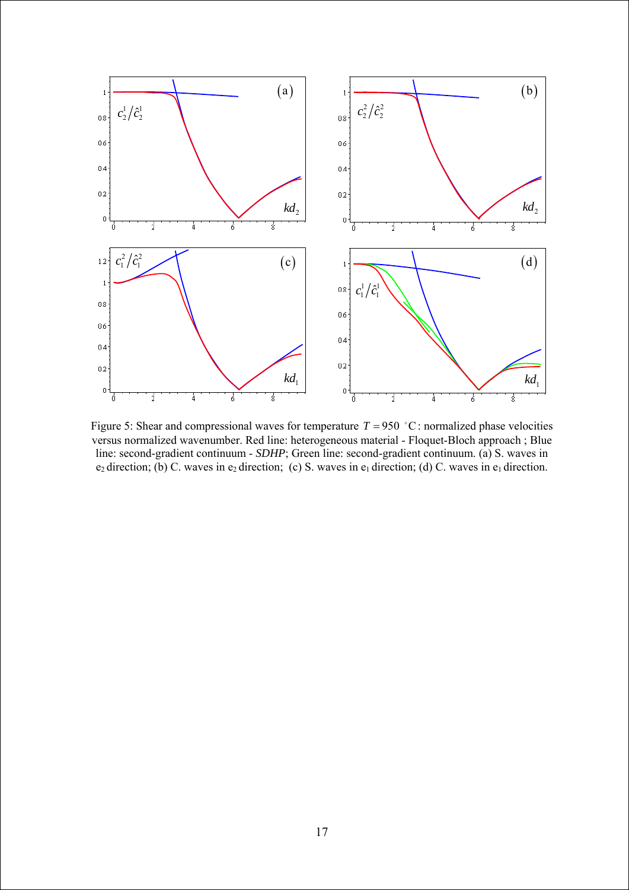

Figure 5: Shear and compressional waves for temperature  $T = 950 \degree C$  : normalized phase velocities versus normalized wavenumber. Red line: heterogeneous material - Floquet-Bloch approach ; Blue line: second-gradient continuum - *SDHP*; Green line: second-gradient continuum. (a) S. waves in  $e_2$  direction; (b) C. waves in  $e_2$  direction; (c) S. waves in  $e_1$  direction; (d) C. waves in  $e_1$  direction.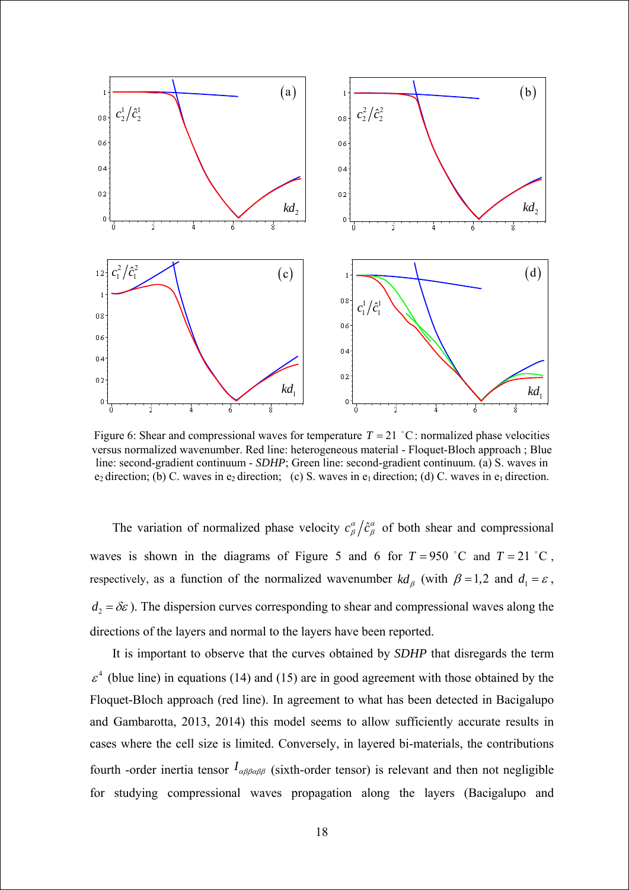

Figure 6: Shear and compressional waves for temperature  $T = 21 \degree C$ ; normalized phase velocities versus normalized wavenumber. Red line: heterogeneous material - Floquet-Bloch approach ; Blue line: second-gradient continuum - *SDHP*; Green line: second-gradient continuum. (a) S. waves in  $e_2$  direction; (b) C. waves in  $e_2$  direction; (c) S. waves in  $e_1$  direction; (d) C. waves in  $e_1$  direction.

The variation of normalized phase velocity  $c^{\alpha}_{\beta}/\hat{c}^{\alpha}_{\beta}$  of both shear and compressional waves is shown in the diagrams of Figure 5 and 6 for  $T = 950$  °C and  $T = 21$  °C, respectively, as a function of the normalized wavenumber  $kd<sub>β</sub>$  (with  $β = 1,2$  and  $d<sub>1</sub> = ε$ ,  $d_2 = \delta \varepsilon$ ). The dispersion curves corresponding to shear and compressional waves along the directions of the layers and normal to the layers have been reported.

It is important to observe that the curves obtained by *SDHP* that disregards the term  $\varepsilon^4$  (blue line) in equations (14) and (15) are in good agreement with those obtained by the Floquet-Bloch approach (red line). In agreement to what has been detected in Bacigalupo and Gambarotta, 2013, 2014) this model seems to allow sufficiently accurate results in cases where the cell size is limited. Conversely, in layered bi-materials, the contributions fourth -order inertia tensor  $I_{\alpha\beta\beta\alpha\beta\beta}$  (sixth-order tensor) is relevant and then not negligible for studying compressional waves propagation along the layers (Bacigalupo and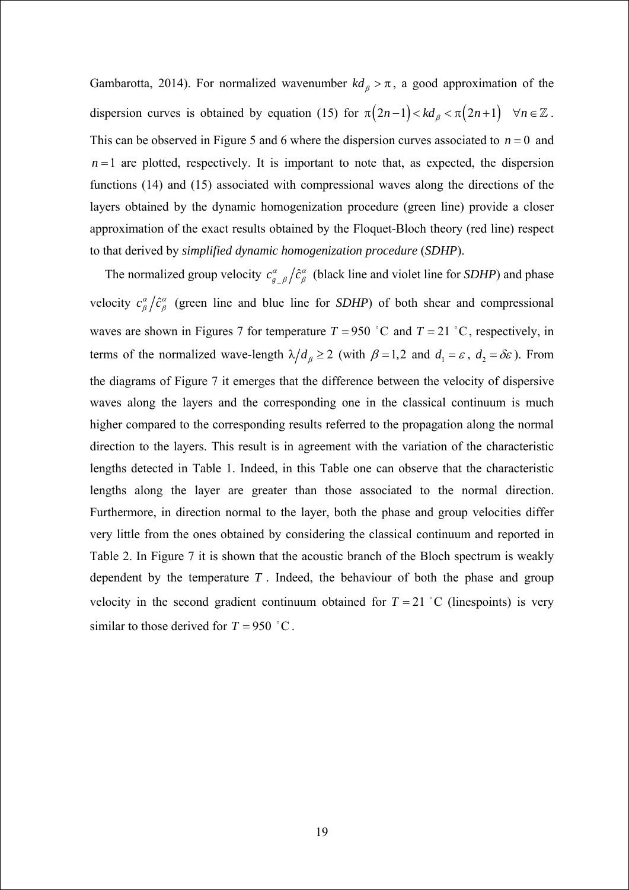Gambarotta, 2014). For normalized wavenumber  $kd<sub>β</sub> > π$ , a good approximation of the dispersion curves is obtained by equation (15) for  $\pi(2n-1) < kd_\beta < \pi(2n+1)$   $\forall n \in \mathbb{Z}$ . This can be observed in Figure 5 and 6 where the dispersion curves associated to  $n = 0$  and  $n = 1$  are plotted, respectively. It is important to note that, as expected, the dispersion functions (14) and (15) associated with compressional waves along the directions of the layers obtained by the dynamic homogenization procedure (green line) provide a closer approximation of the exact results obtained by the Floquet-Bloch theory (red line) respect to that derived by *simplified dynamic homogenization procedure* (*SDHP*).

The normalized group velocity  $c_{g}^{\alpha}{}_{\beta}/\hat{c}_{\beta}^{\alpha}$  (black line and violet line for *SDHP*) and phase velocity  $c_{\beta}^{\alpha}/\hat{c}_{\beta}^{\alpha}$  (green line and blue line for *SDHP*) of both shear and compressional waves are shown in Figures 7 for temperature  $T = 950$  °C and  $T = 21$  °C, respectively, in terms of the normalized wave-length  $\lambda/d_\beta \ge 2$  (with  $\beta = 1, 2$  and  $d_1 = \varepsilon$ ,  $d_2 = \delta \varepsilon$ ). From the diagrams of Figure 7 it emerges that the difference between the velocity of dispersive waves along the layers and the corresponding one in the classical continuum is much higher compared to the corresponding results referred to the propagation along the normal direction to the layers. This result is in agreement with the variation of the characteristic lengths detected in Table 1. Indeed, in this Table one can observe that the characteristic lengths along the layer are greater than those associated to the normal direction. Furthermore, in direction normal to the layer, both the phase and group velocities differ very little from the ones obtained by considering the classical continuum and reported in Table 2. In Figure 7 it is shown that the acoustic branch of the Bloch spectrum is weakly dependent by the temperature *T* . Indeed, the behaviour of both the phase and group velocity in the second gradient continuum obtained for  $T = 21 \degree C$  (linespoints) is very similar to those derived for  $T = 950$  °C.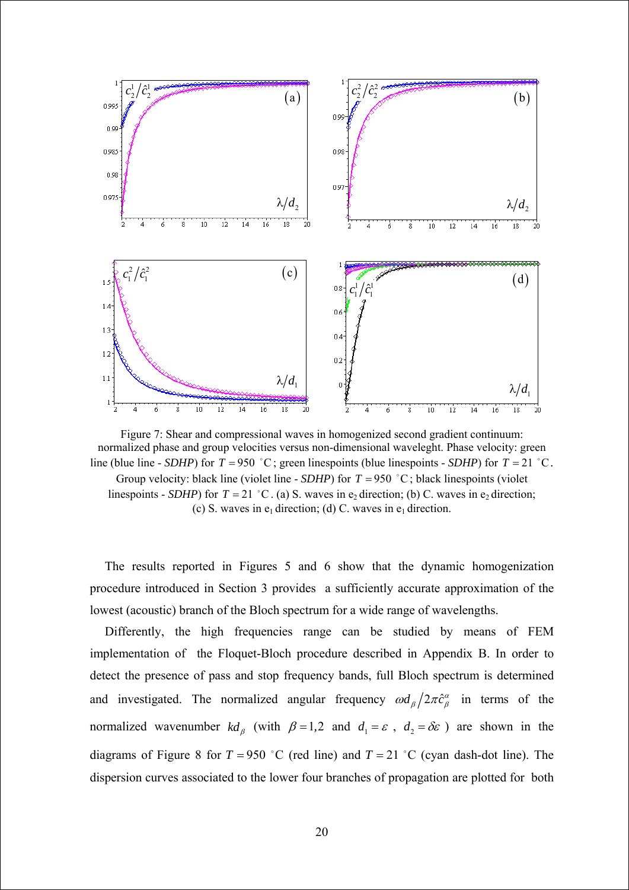

Figure 7: Shear and compressional waves in homogenized second gradient continuum: normalized phase and group velocities versus non-dimensional waveleght. Phase velocity: green line (blue line - *SDHP*) for  $T = 950$  °C; green linespoints (blue linespoints - *SDHP*) for  $T = 21$  °C. Group velocity: black line (violet line - *SDHP*) for  $T = 950$  °C; black linespoints (violet linespoints - *SDHP*) for  $T = 21^\circ \text{C}$ . (a) S. waves in e<sub>2</sub> direction; (b) C. waves in e<sub>2</sub> direction; (c) S. waves in  $e_1$  direction; (d) C. waves in  $e_1$  direction.

The results reported in Figures 5 and 6 show that the dynamic homogenization procedure introduced in Section 3 provides a sufficiently accurate approximation of the lowest (acoustic) branch of the Bloch spectrum for a wide range of wavelengths.

 Differently, the high frequencies range can be studied by means of FEM implementation of the Floquet-Bloch procedure described in Appendix B. In order to detect the presence of pass and stop frequency bands, full Bloch spectrum is determined and investigated. The normalized angular frequency  $\omega d_{\beta}/2\pi \hat{c}_{\beta}^{\alpha}$  in terms of the normalized wavenumber  $kd_\beta$  (with  $\beta = 1,2$  and  $d_1 = \varepsilon$ ,  $d_2 = \delta \varepsilon$ ) are shown in the diagrams of Figure 8 for  $T = 950$  °C (red line) and  $T = 21$  °C (cyan dash-dot line). The dispersion curves associated to the lower four branches of propagation are plotted for both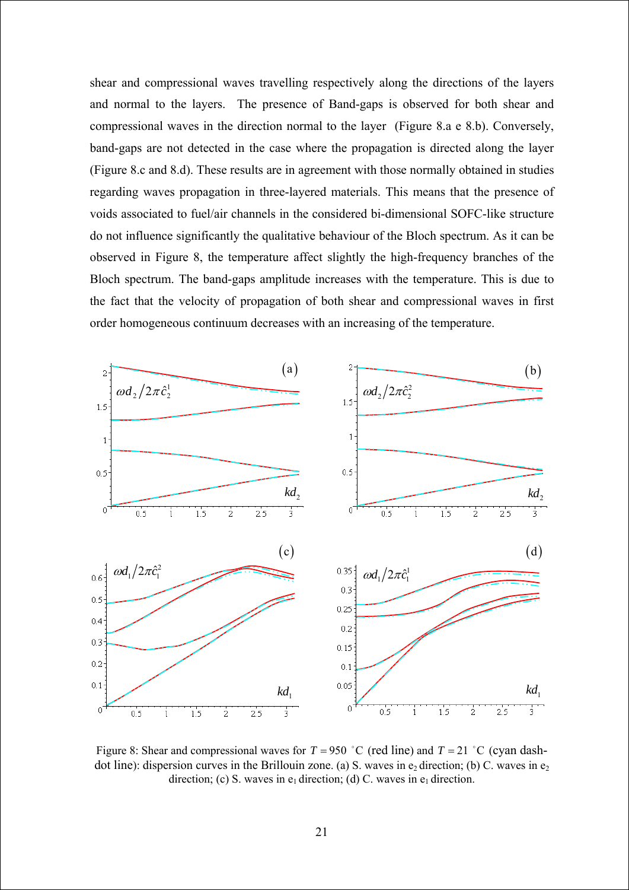shear and compressional waves travelling respectively along the directions of the layers and normal to the layers. The presence of Band-gaps is observed for both shear and compressional waves in the direction normal to the layer (Figure 8.a e 8.b). Conversely, band-gaps are not detected in the case where the propagation is directed along the layer (Figure 8.c and 8.d). These results are in agreement with those normally obtained in studies regarding waves propagation in three-layered materials. This means that the presence of voids associated to fuel/air channels in the considered bi-dimensional SOFC-like structure do not influence significantly the qualitative behaviour of the Bloch spectrum. As it can be observed in Figure 8, the temperature affect slightly the high-frequency branches of the Bloch spectrum. The band-gaps amplitude increases with the temperature. This is due to the fact that the velocity of propagation of both shear and compressional waves in first order homogeneous continuum decreases with an increasing of the temperature.



Figure 8: Shear and compressional waves for  $T = 950$  °C (red line) and  $T = 21$  °C (cyan dashdot line): dispersion curves in the Brillouin zone. (a) S. waves in  $e_2$  direction; (b) C. waves in  $e_2$ direction; (c) S. waves in  $e_1$  direction; (d) C. waves in  $e_1$  direction.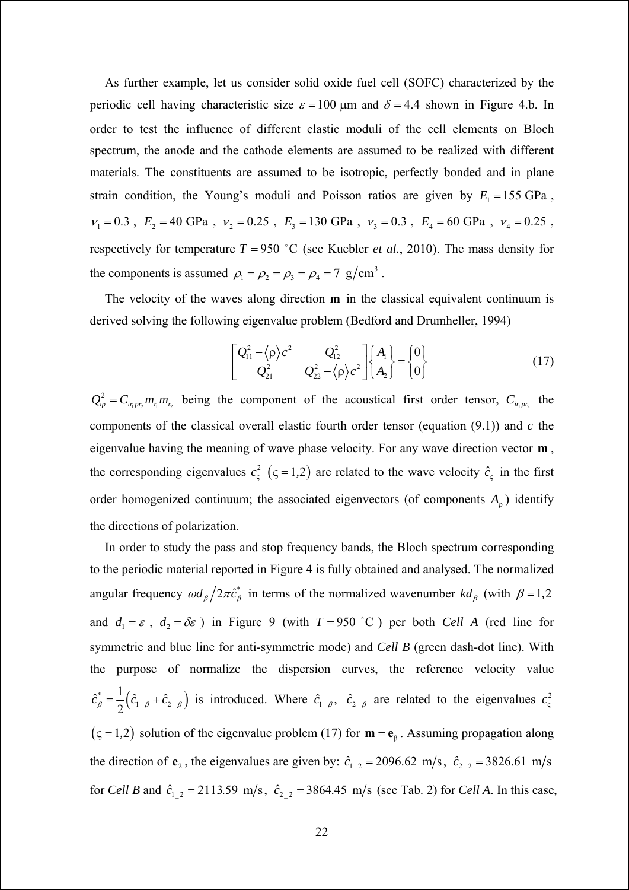As further example, let us consider solid oxide fuel cell (SOFC) characterized by the periodic cell having characteristic size  $\varepsilon = 100 \text{ }\mu\text{m}$  and  $\delta = 4.4 \text{ shown in Figure 4.b. In}$ order to test the influence of different elastic moduli of the cell elements on Bloch spectrum, the anode and the cathode elements are assumed to be realized with different materials. The constituents are assumed to be isotropic, perfectly bonded and in plane strain condition, the Young's moduli and Poisson ratios are given by  $E_1 = 155$  GPa,  $v_1 = 0.3$ ,  $E_2 = 40$  GPa,  $v_2 = 0.25$ ,  $E_3 = 130$  GPa,  $v_3 = 0.3$ ,  $E_4 = 60$  GPa,  $v_4 = 0.25$ , respectively for temperature  $T = 950$  °C (see Kuebler *et al.*, 2010). The mass density for the components is assumed  $\rho_1 = \rho_2 = \rho_3 = \rho_4 = 7$  g/cm<sup>3</sup>.

The velocity of the waves along direction **m** in the classical equivalent continuum is derived solving the following eigenvalue problem (Bedford and Drumheller, 1994)

$$
\begin{bmatrix} Q_{11}^2 - \langle \rho \rangle c^2 & Q_{12}^2 \\ Q_{21}^2 & Q_{22}^2 - \langle \rho \rangle c^2 \end{bmatrix} \begin{Bmatrix} A_1 \\ A_2 \end{Bmatrix} = \begin{Bmatrix} 0 \\ 0 \end{Bmatrix}
$$
 (17)

 $Q_p^2 = C_{i n_1 p r_2} m_n m_{r_2}$  being the component of the acoustical first order tensor,  $C_{i n_1 p r_2}$  the components of the classical overall elastic fourth order tensor (equation (9.1)) and *c* the eigenvalue having the meaning of wave phase velocity. For any wave direction vector **m** , the corresponding eigenvalues  $c^2$  ( $\zeta$  = 1,2) are related to the wave velocity  $\hat{c}$  in the first order homogenized continuum; the associated eigenvectors (of components  $A<sub>n</sub>$ ) identify the directions of polarization.

In order to study the pass and stop frequency bands, the Bloch spectrum corresponding to the periodic material reported in Figure 4 is fully obtained and analysed. The normalized angular frequency  $\omega d_{\beta}/2\pi \hat{c}_{\beta}^{*}$  in terms of the normalized wavenumber  $k d_{\beta}$  (with  $\beta = 1, 2$ and  $d_1 = \varepsilon$ ,  $d_2 = \delta \varepsilon$ ) in Figure 9 (with  $T = 950$  °C) per both *Cell A* (red line for symmetric and blue line for anti-symmetric mode) and *Cell B* (green dash-dot line). With the purpose of normalize the dispersion curves, the reference velocity value  $\hat{c}_\beta^* = \frac{1}{2} (\hat{c}_{1\beta} + \hat{c}_{2\beta})$  is introduced. Where  $\hat{c}_{1\beta}$ ,  $\hat{c}_{2\beta}$  are related to the eigenvalues  $c_\varsigma^2$  $(\varsigma = 1, 2)$  solution of the eigenvalue problem (17) for  $\mathbf{m} = \mathbf{e}_{\beta}$ . Assuming propagation along the direction of  $e_2$ , the eigenvalues are given by:  $\hat{c}_{1,2} = 2096.62 \text{ m/s}, \ \hat{c}_{2,2} = 3826.61 \text{ m/s}$ for *Cell B* and  $\hat{c}_{1,2} = 2113.59 \text{ m/s}, \hat{c}_{2,2} = 3864.45 \text{ m/s}$  (see Tab. 2) for *Cell A*. In this case,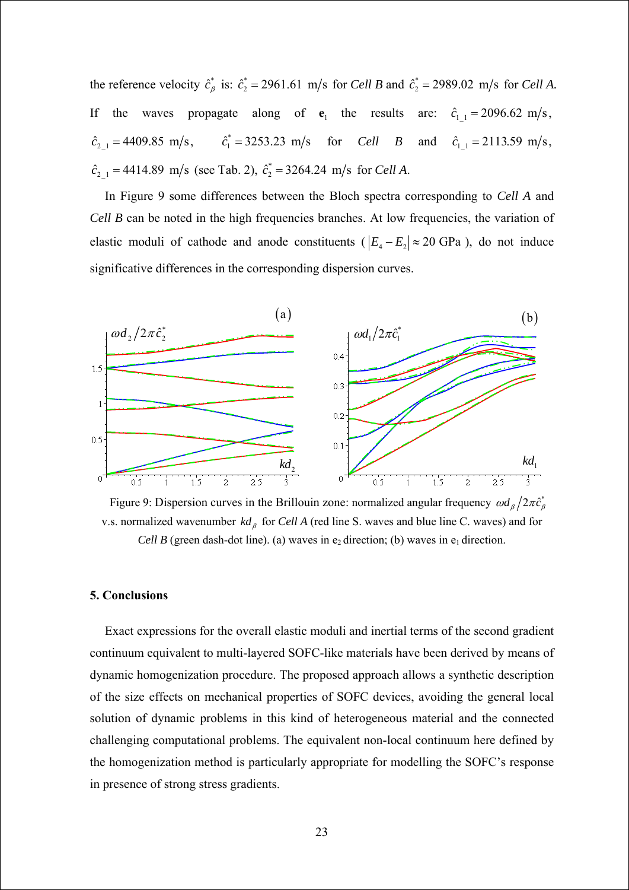the reference velocity  $\hat{c}^*_{\beta}$  is:  $\hat{c}^*_{2} = 2961.61$  m/s for *Cell B* and  $\hat{c}^*_{2} = 2989.02$  m/s for *Cell A*. If the waves propagate along of  $e_1$  the results are:  $\hat{c}_{1,1} = 2096.62 \text{ m/s}$ ,  $\hat{c}_{2-1} = 4409.85 \text{ m/s}, \qquad \hat{c}_1^* = 3253.23 \text{ m/s} \qquad \text{for} \qquad \text{Cell} \qquad B \qquad \text{and} \qquad \hat{c}_{1-1} = 2113.59 \text{ m/s},$  $\hat{c}_{2-1}$  = 4414.89 m/s (see Tab. 2),  $\hat{c}_2^*$  = 3264.24 m/s for *Cell A*.

In Figure 9 some differences between the Bloch spectra corresponding to *Cell A* and *Cell B* can be noted in the high frequencies branches. At low frequencies, the variation of elastic moduli of cathode and anode constituents ( $|E_4 - E_2| \approx 20 \text{ GPa}$ ), do not induce significative differences in the corresponding dispersion curves.



Figure 9: Dispersion curves in the Brillouin zone: normalized angular frequency  $\omega d_{\beta}/2\pi \hat{c}_{\beta}^{*}$ v.s. normalized wavenumber  $kd<sub>\beta</sub>$  for *Cell A* (red line S. waves and blue line C. waves) and for *Cell B* (green dash-dot line). (a) waves in  $e_2$  direction; (b) waves in  $e_1$  direction.

# **5. Conclusions**

Exact expressions for the overall elastic moduli and inertial terms of the second gradient continuum equivalent to multi-layered SOFC-like materials have been derived by means of dynamic homogenization procedure. The proposed approach allows a synthetic description of the size effects on mechanical properties of SOFC devices, avoiding the general local solution of dynamic problems in this kind of heterogeneous material and the connected challenging computational problems. The equivalent non-local continuum here defined by the homogenization method is particularly appropriate for modelling the SOFC's response in presence of strong stress gradients.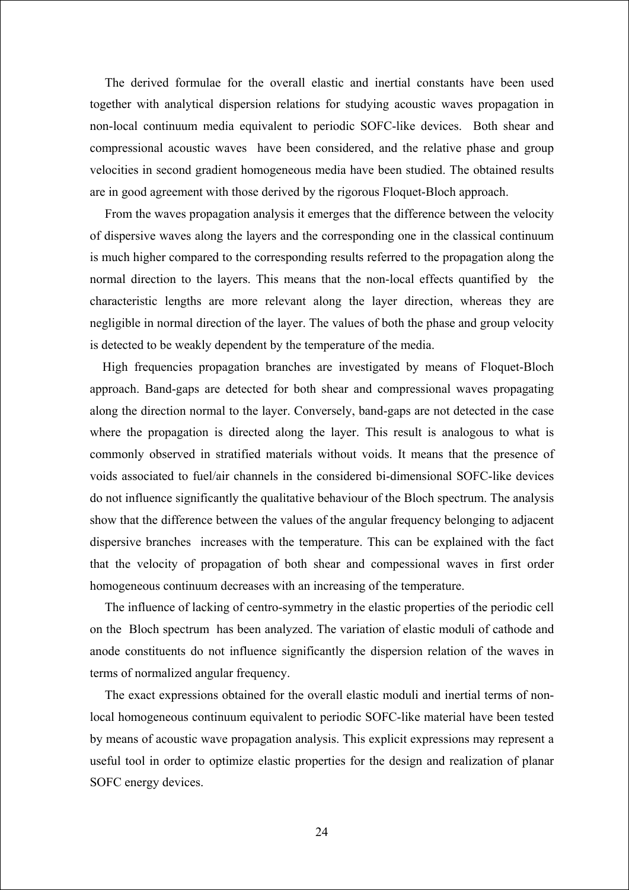The derived formulae for the overall elastic and inertial constants have been used together with analytical dispersion relations for studying acoustic waves propagation in non-local continuum media equivalent to periodic SOFC-like devices. Both shear and compressional acoustic waves have been considered, and the relative phase and group velocities in second gradient homogeneous media have been studied. The obtained results are in good agreement with those derived by the rigorous Floquet-Bloch approach.

From the waves propagation analysis it emerges that the difference between the velocity of dispersive waves along the layers and the corresponding one in the classical continuum is much higher compared to the corresponding results referred to the propagation along the normal direction to the layers. This means that the non-local effects quantified by the characteristic lengths are more relevant along the layer direction, whereas they are negligible in normal direction of the layer. The values of both the phase and group velocity is detected to be weakly dependent by the temperature of the media.

 High frequencies propagation branches are investigated by means of Floquet-Bloch approach. Band-gaps are detected for both shear and compressional waves propagating along the direction normal to the layer. Conversely, band-gaps are not detected in the case where the propagation is directed along the layer. This result is analogous to what is commonly observed in stratified materials without voids. It means that the presence of voids associated to fuel/air channels in the considered bi-dimensional SOFC-like devices do not influence significantly the qualitative behaviour of the Bloch spectrum. The analysis show that the difference between the values of the angular frequency belonging to adjacent dispersive branches increases with the temperature. This can be explained with the fact that the velocity of propagation of both shear and compessional waves in first order homogeneous continuum decreases with an increasing of the temperature.

The influence of lacking of centro-symmetry in the elastic properties of the periodic cell on the Bloch spectrum has been analyzed. The variation of elastic moduli of cathode and anode constituents do not influence significantly the dispersion relation of the waves in terms of normalized angular frequency.

The exact expressions obtained for the overall elastic moduli and inertial terms of nonlocal homogeneous continuum equivalent to periodic SOFC-like material have been tested by means of acoustic wave propagation analysis. This explicit expressions may represent a useful tool in order to optimize elastic properties for the design and realization of planar SOFC energy devices.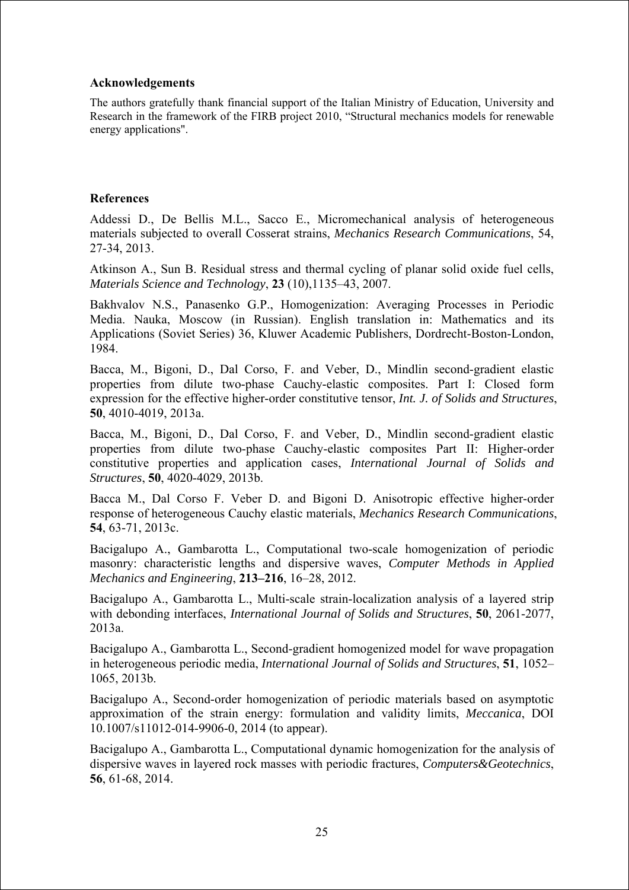# **Acknowledgements**

The authors gratefully thank financial support of the Italian Ministry of Education, University and Research in the framework of the FIRB project 2010, "Structural mechanics models for renewable energy applications".

# **References**

Addessi D., De Bellis M.L., Sacco E., Micromechanical analysis of heterogeneous materials subjected to overall Cosserat strains, *Mechanics Research Communications*, 54, 27-34, 2013.

Atkinson A., Sun B. Residual stress and thermal cycling of planar solid oxide fuel cells, *Materials Science and Technology*, **23** (10),1135–43, 2007.

Bakhvalov N.S., Panasenko G.P., Homogenization: Averaging Processes in Periodic Media. Nauka, Moscow (in Russian). English translation in: Mathematics and its Applications (Soviet Series) 36, Kluwer Academic Publishers, Dordrecht-Boston-London, 1984.

Bacca, M., Bigoni, D., Dal Corso, F. and Veber, D., Mindlin second-gradient elastic properties from dilute two-phase Cauchy-elastic composites. Part I: Closed form expression for the effective higher-order constitutive tensor, *Int. J. of Solids and Structures*, **50**, 4010-4019, 2013a.

Bacca, M., Bigoni, D., Dal Corso, F. and Veber, D., Mindlin second-gradient elastic properties from dilute two-phase Cauchy-elastic composites Part II: Higher-order constitutive properties and application cases, *International Journal of Solids and Structures*, **50**, 4020-4029, 2013b.

Bacca M., Dal Corso F. Veber D. and Bigoni D. Anisotropic effective higher-order response of heterogeneous Cauchy elastic materials, *Mechanics Research Communications*, **54**, 63-71, 2013c.

Bacigalupo A., Gambarotta L., Computational two-scale homogenization of periodic masonry: characteristic lengths and dispersive waves, *Computer Methods in Applied Mechanics and Engineering*, **213–216**, 16–28, 2012.

Bacigalupo A., Gambarotta L., Multi-scale strain-localization analysis of a layered strip with debonding interfaces, *International Journal of Solids and Structures*, **50**, 2061-2077, 2013a.

Bacigalupo A., Gambarotta L., Second-gradient homogenized model for wave propagation in heterogeneous periodic media, *International Journal of Solids and Structures*, **51**, 1052– 1065, 2013b.

Bacigalupo A., Second-order homogenization of periodic materials based on asymptotic approximation of the strain energy: formulation and validity limits, *Meccanica*, DOI 10.1007/s11012-014-9906-0, 2014 (to appear).

Bacigalupo A., Gambarotta L., Computational dynamic homogenization for the analysis of dispersive waves in layered rock masses with periodic fractures, *Computers&Geotechnics*, **56**, 61-68, 2014.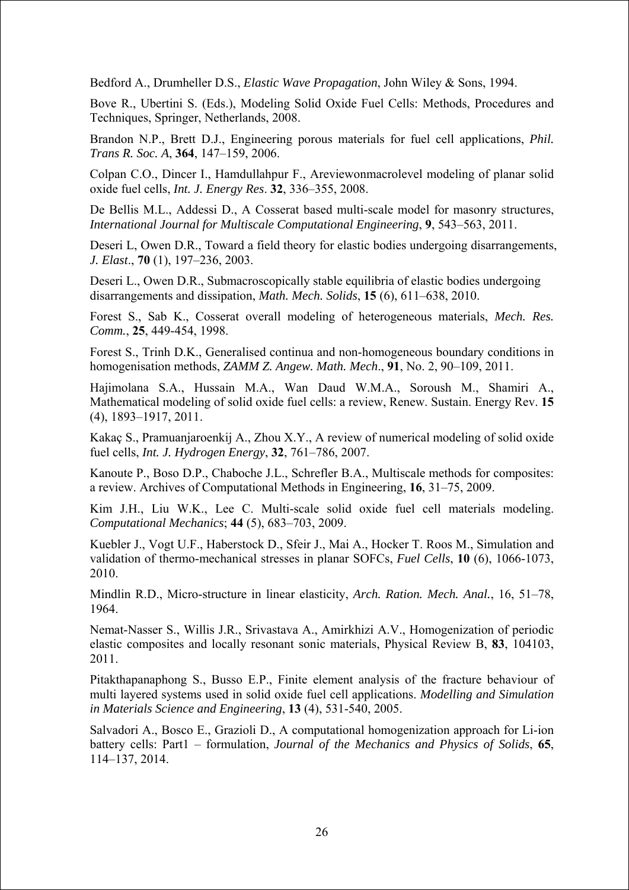Bedford A., Drumheller D.S., *Elastic Wave Propagation*, John Wiley & Sons, 1994.

Bove R., Ubertini S. (Eds.), Modeling Solid Oxide Fuel Cells: Methods, Procedures and Techniques, Springer, Netherlands, 2008.

Brandon N.P., Brett D.J., Engineering porous materials for fuel cell applications, *Phil. Trans R. Soc. A*, **364**, 147–159, 2006.

Colpan C.O., Dincer I., Hamdullahpur F., Areviewonmacrolevel modeling of planar solid oxide fuel cells, *Int. J. Energy Res*. **32**, 336–355, 2008.

De Bellis M.L., Addessi D., A Cosserat based multi-scale model for masonry structures, *International Journal for Multiscale Computational Engineering*, **9**, 543–563, 2011.

Deseri L, Owen D.R., Toward a field theory for elastic bodies undergoing disarrangements, *J. Elast*., **70** (1), 197–236, 2003.

Deseri L., Owen D.R., Submacroscopically stable equilibria of elastic bodies undergoing disarrangements and dissipation, *Math. Mech. Solids*, **15** (6), 611–638, 2010.

Forest S., Sab K., Cosserat overall modeling of heterogeneous materials, *Mech. Res. Comm.*, **25**, 449-454, 1998.

Forest S., Trinh D.K., Generalised continua and non-homogeneous boundary conditions in homogenisation methods, *ZAMM Z. Angew. Math. Mech*., **91**, No. 2, 90–109, 2011.

Hajimolana S.A., Hussain M.A., Wan Daud W.M.A., Soroush M., Shamiri A., Mathematical modeling of solid oxide fuel cells: a review, Renew. Sustain. Energy Rev. **15** (4), 1893–1917, 2011.

Kakaç S., Pramuanjaroenkij A., Zhou X.Y., A review of numerical modeling of solid oxide fuel cells, *Int. J. Hydrogen Energy*, **32**, 761–786, 2007.

Kanoute P., Boso D.P., Chaboche J.L., Schrefler B.A., Multiscale methods for composites: a review. Archives of Computational Methods in Engineering, **16**, 31–75, 2009.

Kim J.H., Liu W.K., Lee C. Multi-scale solid oxide fuel cell materials modeling. *Computational Mechanics*; **44** (5), 683–703, 2009.

Kuebler J., Vogt U.F., Haberstock D., Sfeir J., Mai A., Hocker T. Roos M., Simulation and validation of thermo-mechanical stresses in planar SOFCs, *Fuel Cells*, **10** (6), 1066-1073, 2010.

Mindlin R.D., Micro-structure in linear elasticity, *Arch. Ration. Mech. Anal.*, 16, 51–78, 1964.

Nemat-Nasser S., Willis J.R., Srivastava A., Amirkhizi A.V., Homogenization of periodic elastic composites and locally resonant sonic materials, Physical Review B, **83**, 104103, 2011.

Pitakthapanaphong S., Busso E.P., Finite element analysis of the fracture behaviour of multi layered systems used in solid oxide fuel cell applications. *Modelling and Simulation in Materials Science and Engineering*, **13** (4), 531-540, 2005.

Salvadori A., Bosco E., Grazioli D., A computational homogenization approach for Li-ion battery cells: Part1 – formulation, *Journal of the Mechanics and Physics of Solids*, **65**, 114–137, 2014.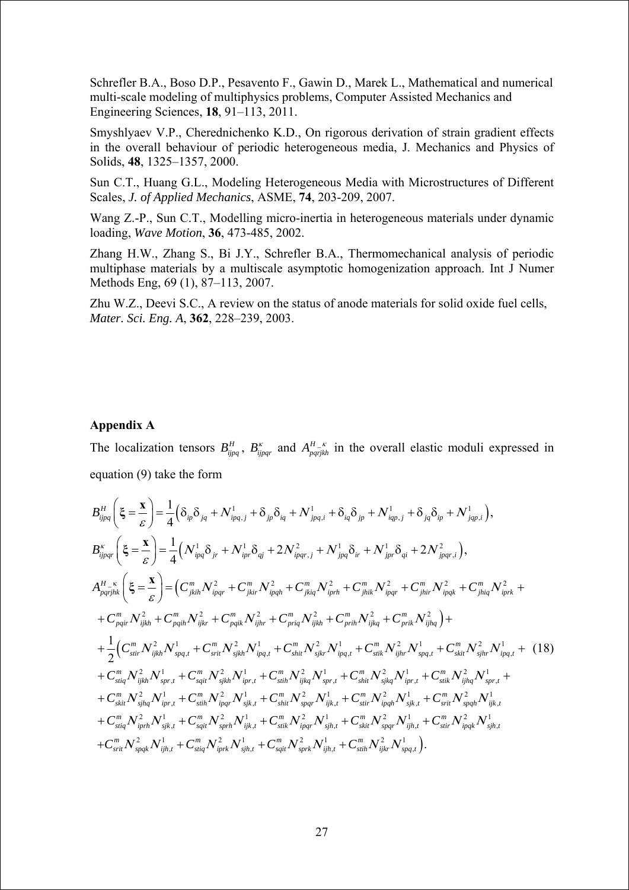Schrefler B.A., Boso D.P., Pesavento F., Gawin D., Marek L., Mathematical and numerical multi-scale modeling of multiphysics problems, Computer Assisted Mechanics and Engineering Sciences, **18**, 91–113, 2011.

Smyshlyaev V.P., Cherednichenko K.D., On rigorous derivation of strain gradient effects in the overall behaviour of periodic heterogeneous media, J. Mechanics and Physics of Solids, **48**, 1325–1357, 2000.

Sun C.T., Huang G.L., Modeling Heterogeneous Media with Microstructures of Different Scales, *J. of Applied Mechanics*, ASME, **74**, 203-209, 2007.

Wang Z.-P., Sun C.T., Modelling micro-inertia in heterogeneous materials under dynamic loading, *Wave Motion*, **36**, 473-485, 2002.

Zhang H.W., Zhang S., Bi J.Y., Schrefler B.A., Thermomechanical analysis of periodic multiphase materials by a multiscale asymptotic homogenization approach. Int J Numer Methods Eng, 69 (1), 87–113, 2007.

Zhu W.Z., Deevi S.C., A review on the status of anode materials for solid oxide fuel cells, *Mater. Sci. Eng. A*, **362**, 228–239, 2003.

# **Appendix A**

The localization tensors  $B_{ijpq}^H$ ,  $B_{ijpq}^{\kappa}$  and  $A_{pqijkh}^{H-\kappa}$  in the overall elastic moduli expressed in equation (9) take the form

$$
B_{ijpq}^H \left( \xi = \frac{\mathbf{x}}{\varepsilon} \right) = \frac{1}{4} \left( \delta_{ip} \delta_{jq} + N_{ipq,j}^1 + \delta_{jp} \delta_{iq} + N_{jpq,i}^1 + \delta_{iq} \delta_{jp} + N_{ipp,j}^1 + \delta_{jq} \delta_{ip} + N_{jp,i}^1 \right),
$$
  
\n
$$
B_{ijpqr}^{\kappa} \left( \xi = \frac{\mathbf{x}}{\varepsilon} \right) = \frac{1}{4} \left( N_{ipq}^1 \delta_{jr} + N_{ipr}^1 \delta_{qi} + 2N_{ipqr,j}^2 + N_{jpq}^1 \delta_{ir} + N_{jp}^1 \delta_{qi} + 2N_{jpqr,i}^2 \right),
$$
  
\n
$$
A_{pqjhk}^H \left( \xi = \frac{\mathbf{x}}{\varepsilon} \right) = \left( C_{jkih}^m N_{ipqr}^2 + C_{jkir}^m N_{ipqh}^2 + C_{jkiq}^m N_{iprh}^2 + C_{jhir}^m N_{ipqr}^2 + C_{jhir}^m N_{ipqk}^2 + C_{jhiq}^m N_{iprk}^2 + C_{jhiq}^m N_{iprk}^2 + C_{jhiq}^m N_{iprk}^2 + C_{jhiq}^m N_{jkh}^2 + C_{pqih}^m N_{ijkr}^2 + C_{pqih}^m N_{ijkr}^2 + C_{priq}^m N_{ijkq}^2 + C_{prik}^m N_{ijpq}^2 + C_{prik}^m N_{ijpq}^2 \right) +
$$
  
\n
$$
+ \frac{1}{2} \left( C_{sir}^m N_{ijkh}^2 N_{spq,t}^1 + C_{srir}^m N_{sjkh}^2 N_{ipq,t}^1 + C_{shir}^m N_{sjk}^2 N_{ipq,t}^1 + C_{siki}^m N_{sjk}^2 N_{ipr,t}^1 + C_{skir}^m N_{sjpq,t}^2 N_{spq,t}^1 + C_{skir}^m N_{sjph}^2 N_{jpr,t}^1 + C_{skir}^m N_{sjph}^2 N_{jpr,t}^1 + C_{skir}^m N_{sjpq,t}^2 N_{jpr,t}^1 + C_{skir}^m N_{sjpq,t}^2 N_{jpr
$$